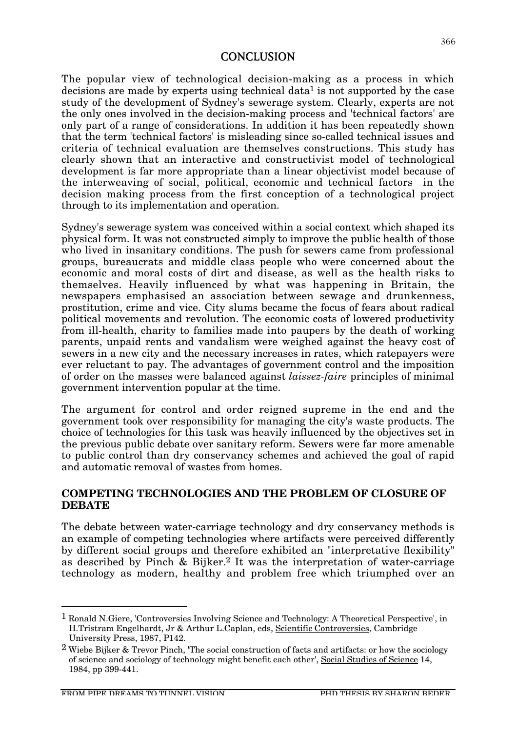## **CONCLUSION**

The popular view of technological decision-making as a process in which decisions are made by experts using technical data<sup>1</sup> is not supported by the case study of the development of Sydney's sewerage system. Clearly, experts are not the only ones involved in the decision-making process and 'technical factors' are only part of a range of considerations. In addition it has been repeatedly shown that the term 'technical factors' is misleading since so-called technical issues and criteria of technical evaluation are themselves constructions. This study has clearly shown that an interactive and constructivist model of technological development is far more appropriate than a linear objectivist model because of the interweaving of social, political, economic and technical factors in the decision making process from the first conception of a technological project through to its implementation and operation.

Sydney's sewerage system was conceived within a social context which shaped its physical form. It was not constructed simply to improve the public health of those who lived in insanitary conditions. The push for sewers came from professional groups, bureaucrats and middle class people who were concerned about the economic and moral costs of dirt and disease, as well as the health risks to themselves. Heavily influenced by what was happening in Britain, the newspapers emphasised an association between sewage and drunkenness, prostitution, crime and vice. City slums became the focus of fears about radical political movements and revolution. The economic costs of lowered productivity from ill-health, charity to families made into paupers by the death of working parents, unpaid rents and vandalism were weighed against the heavy cost of sewers in a new city and the necessary increases in rates, which ratepayers were ever reluctant to pay. The advantages of government control and the imposition of order on the masses were balanced against *laissez-faire* principles of minimal government intervention popular at the time.

The argument for control and order reigned supreme in the end and the government took over responsibility for managing the city's waste products. The choice of technologies for this task was heavily influenced by the objectives set in the previous public debate over sanitary reform. Sewers were far more amenable to public control than dry conservancy schemes and achieved the goal of rapid and automatic removal of wastes from homes.

### **COMPETING TECHNOLOGIES AND THE PROBLEM OF CLOSURE OF DEBATE**

The debate between water-carriage technology and dry conservancy methods is an example of competing technologies where artifacts were perceived differently by different social groups and therefore exhibited an "interpretative flexibility" as described by Pinch & Bijker.2 It was the interpretation of water-carriage technology as modern, healthy and problem free which triumphed over an

 <sup>1</sup> Ronald N.Giere, 'Controversies Involving Science and Technology: A Theoretical Perspective', in H.Tristram Engelhardt, Jr & Arthur L.Caplan, eds, Scientific Controversies, Cambridge University Press, 1987, P142.

 $2$  Wiebe Bijker & Trevor Pinch, 'The social construction of facts and artifacts: or how the sociology of science and sociology of technology might benefit each other', Social Studies of Science 14, 1984, pp 399-441.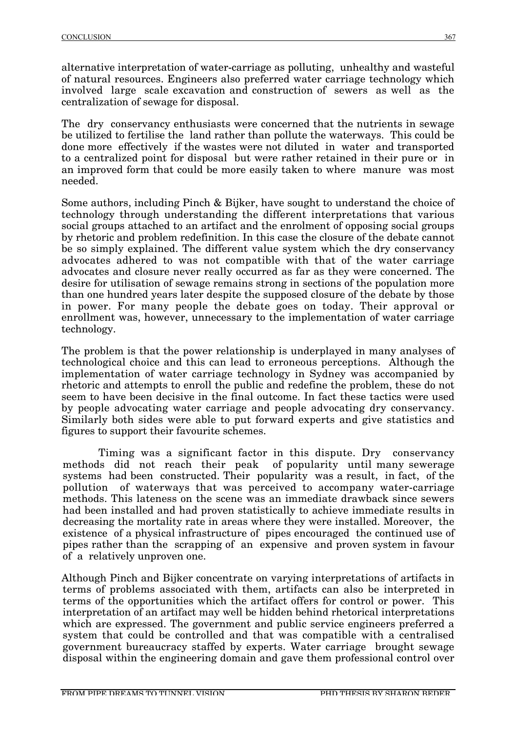alternative interpretation of water-carriage as polluting, unhealthy and wasteful of natural resources. Engineers also preferred water carriage technology which involved large scale excavation and construction of sewers as well as the centralization of sewage for disposal.

The dry conservancy enthusiasts were concerned that the nutrients in sewage be utilized to fertilise the land rather than pollute the waterways. This could be done more effectively if the wastes were not diluted in water and transported to a centralized point for disposal but were rather retained in their pure or in an improved form that could be more easily taken to where manure was most needed.

Some authors, including Pinch & Bijker, have sought to understand the choice of technology through understanding the different interpretations that various social groups attached to an artifact and the enrolment of opposing social groups by rhetoric and problem redefinition. In this case the closure of the debate cannot be so simply explained. The different value system which the dry conservancy advocates adhered to was not compatible with that of the water carriage advocates and closure never really occurred as far as they were concerned. The desire for utilisation of sewage remains strong in sections of the population more than one hundred years later despite the supposed closure of the debate by those in power. For many people the debate goes on today. Their approval or enrollment was, however, unnecessary to the implementation of water carriage technology.

The problem is that the power relationship is underplayed in many analyses of technological choice and this can lead to erroneous perceptions. Although the implementation of water carriage technology in Sydney was accompanied by rhetoric and attempts to enroll the public and redefine the problem, these do not seem to have been decisive in the final outcome. In fact these tactics were used by people advocating water carriage and people advocating dry conservancy. Similarly both sides were able to put forward experts and give statistics and figures to support their favourite schemes.

Timing was a significant factor in this dispute. Dry conservancy methods did not reach their peak of popularity until many sewerage systems had been constructed. Their popularity was a result, in fact, of the pollution of waterways that was perceived to accompany water-carriage methods. This lateness on the scene was an immediate drawback since sewers had been installed and had proven statistically to achieve immediate results in decreasing the mortality rate in areas where they were installed. Moreover, the existence of a physical infrastructure of pipes encouraged the continued use of pipes rather than the scrapping of an expensive and proven system in favour of a relatively unproven one.

Although Pinch and Bijker concentrate on varying interpretations of artifacts in terms of problems associated with them, artifacts can also be interpreted in terms of the opportunities which the artifact offers for control or power. This interpretation of an artifact may well be hidden behind rhetorical interpretations which are expressed. The government and public service engineers preferred a system that could be controlled and that was compatible with a centralised government bureaucracy staffed by experts. Water carriage brought sewage disposal within the engineering domain and gave them professional control over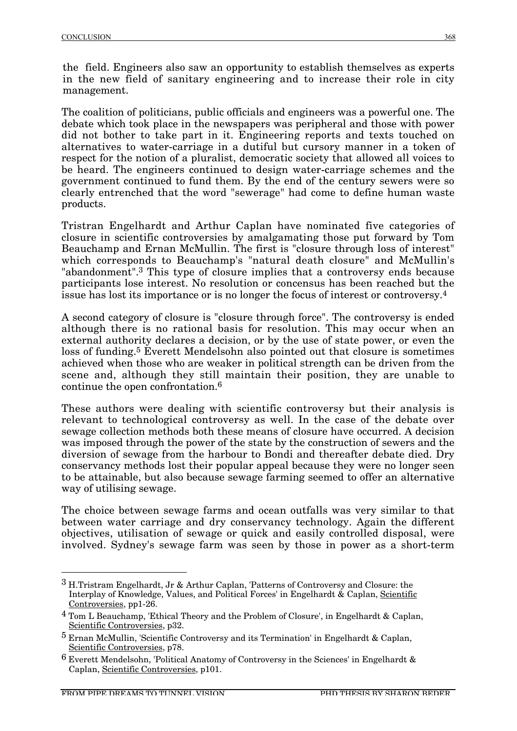The coalition of politicians, public officials and engineers was a powerful one. The debate which took place in the newspapers was peripheral and those with power did not bother to take part in it. Engineering reports and texts touched on alternatives to water-carriage in a dutiful but cursory manner in a token of respect for the notion of a pluralist, democratic society that allowed all voices to be heard. The engineers continued to design water-carriage schemes and the government continued to fund them. By the end of the century sewers were so clearly entrenched that the word "sewerage" had come to define human waste products.

Tristran Engelhardt and Arthur Caplan have nominated five categories of closure in scientific controversies by amalgamating those put forward by Tom Beauchamp and Ernan McMullin. The first is "closure through loss of interest" which corresponds to Beauchamp's "natural death closure" and McMullin's "abandonment".3 This type of closure implies that a controversy ends because participants lose interest. No resolution or concensus has been reached but the issue has lost its importance or is no longer the focus of interest or controversy.4

A second category of closure is "closure through force". The controversy is ended although there is no rational basis for resolution. This may occur when an external authority declares a decision, or by the use of state power, or even the loss of funding.5 Everett Mendelsohn also pointed out that closure is sometimes achieved when those who are weaker in political strength can be driven from the scene and, although they still maintain their position, they are unable to continue the open confrontation.6

These authors were dealing with scientific controversy but their analysis is relevant to technological controversy as well. In the case of the debate over sewage collection methods both these means of closure have occurred. A decision was imposed through the power of the state by the construction of sewers and the diversion of sewage from the harbour to Bondi and thereafter debate died. Dry conservancy methods lost their popular appeal because they were no longer seen to be attainable, but also because sewage farming seemed to offer an alternative way of utilising sewage.

The choice between sewage farms and ocean outfalls was very similar to that between water carriage and dry conservancy technology. Again the different objectives, utilisation of sewage or quick and easily controlled disposal, were involved. Sydney's sewage farm was seen by those in power as a short-term

 <sup>3</sup> H.Tristram Engelhardt, Jr & Arthur Caplan, 'Patterns of Controversy and Closure: the Interplay of Knowledge, Values, and Political Forces' in Engelhardt & Caplan, Scientific Controversies, pp1-26.

<sup>4</sup> Tom L Beauchamp, 'Ethical Theory and the Problem of Closure', in Engelhardt & Caplan, Scientific Controversies, p32.

<sup>5</sup> Ernan McMullin, 'Scientific Controversy and its Termination' in Engelhardt & Caplan, Scientific Controversies, p78.

 $6$  Everett Mendelsohn, 'Political Anatomy of Controversy in the Sciences' in Engelhardt & Caplan, Scientific Controversies, p101.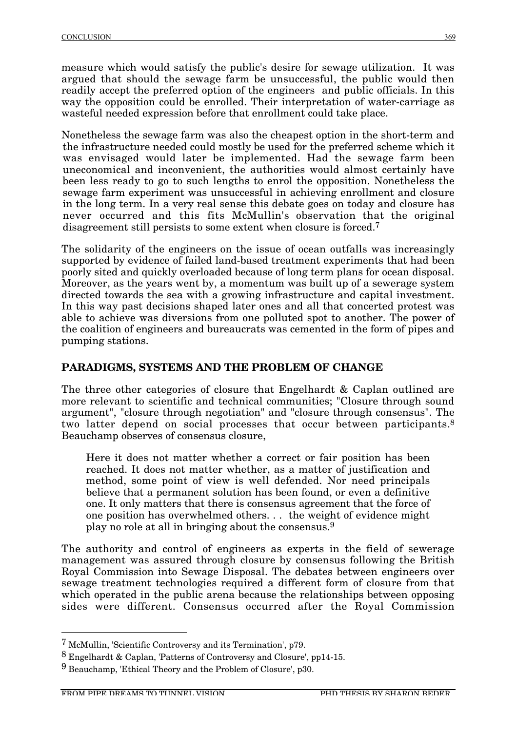measure which would satisfy the public's desire for sewage utilization. It was argued that should the sewage farm be unsuccessful, the public would then readily accept the preferred option of the engineers and public officials. In this way the opposition could be enrolled. Their interpretation of water-carriage as wasteful needed expression before that enrollment could take place.

Nonetheless the sewage farm was also the cheapest option in the short-term and the infrastructure needed could mostly be used for the preferred scheme which it was envisaged would later be implemented. Had the sewage farm been uneconomical and inconvenient, the authorities would almost certainly have been less ready to go to such lengths to enrol the opposition. Nonetheless the sewage farm experiment was unsuccessful in achieving enrollment and closure in the long term. In a very real sense this debate goes on today and closure has never occurred and this fits McMullin's observation that the original disagreement still persists to some extent when closure is forced.7

The solidarity of the engineers on the issue of ocean outfalls was increasingly supported by evidence of failed land-based treatment experiments that had been poorly sited and quickly overloaded because of long term plans for ocean disposal. Moreover, as the years went by, a momentum was built up of a sewerage system directed towards the sea with a growing infrastructure and capital investment. In this way past decisions shaped later ones and all that concerted protest was able to achieve was diversions from one polluted spot to another. The power of the coalition of engineers and bureaucrats was cemented in the form of pipes and pumping stations.

# **PARADIGMS, SYSTEMS AND THE PROBLEM OF CHANGE**

The three other categories of closure that Engelhardt & Caplan outlined are more relevant to scientific and technical communities; "Closure through sound argument", "closure through negotiation" and "closure through consensus". The two latter depend on social processes that occur between participants.<sup>8</sup> Beauchamp observes of consensus closure,

Here it does not matter whether a correct or fair position has been reached. It does not matter whether, as a matter of justification and method, some point of view is well defended. Nor need principals believe that a permanent solution has been found, or even a definitive one. It only matters that there is consensus agreement that the force of one position has overwhelmed others. . . the weight of evidence might play no role at all in bringing about the consensus.9

The authority and control of engineers as experts in the field of sewerage management was assured through closure by consensus following the British Royal Commission into Sewage Disposal. The debates between engineers over sewage treatment technologies required a different form of closure from that which operated in the public arena because the relationships between opposing sides were different. Consensus occurred after the Royal Commission

 <sup>7</sup> McMullin, 'Scientific Controversy and its Termination', p79.

<sup>8</sup> Engelhardt & Caplan, 'Patterns of Controversy and Closure', pp14-15.

<sup>9</sup> Beauchamp, 'Ethical Theory and the Problem of Closure', p30.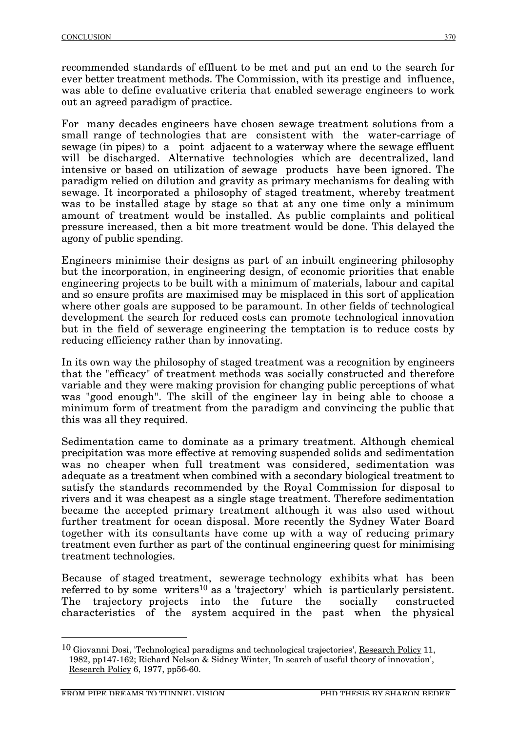recommended standards of effluent to be met and put an end to the search for ever better treatment methods. The Commission, with its prestige and influence, was able to define evaluative criteria that enabled sewerage engineers to work out an agreed paradigm of practice.

For many decades engineers have chosen sewage treatment solutions from a small range of technologies that are consistent with the water-carriage of sewage (in pipes) to a point adjacent to a waterway where the sewage effluent will be discharged. Alternative technologies which are decentralized, land intensive or based on utilization of sewage products have been ignored. The paradigm relied on dilution and gravity as primary mechanisms for dealing with sewage. It incorporated a philosophy of staged treatment, whereby treatment was to be installed stage by stage so that at any one time only a minimum amount of treatment would be installed. As public complaints and political pressure increased, then a bit more treatment would be done. This delayed the agony of public spending.

Engineers minimise their designs as part of an inbuilt engineering philosophy but the incorporation, in engineering design, of economic priorities that enable engineering projects to be built with a minimum of materials, labour and capital and so ensure profits are maximised may be misplaced in this sort of application where other goals are supposed to be paramount. In other fields of technological development the search for reduced costs can promote technological innovation but in the field of sewerage engineering the temptation is to reduce costs by reducing efficiency rather than by innovating.

In its own way the philosophy of staged treatment was a recognition by engineers that the "efficacy" of treatment methods was socially constructed and therefore variable and they were making provision for changing public perceptions of what was "good enough". The skill of the engineer lay in being able to choose a minimum form of treatment from the paradigm and convincing the public that this was all they required.

Sedimentation came to dominate as a primary treatment. Although chemical precipitation was more effective at removing suspended solids and sedimentation was no cheaper when full treatment was considered, sedimentation was adequate as a treatment when combined with a secondary biological treatment to satisfy the standards recommended by the Royal Commission for disposal to rivers and it was cheapest as a single stage treatment. Therefore sedimentation became the accepted primary treatment although it was also used without further treatment for ocean disposal. More recently the Sydney Water Board together with its consultants have come up with a way of reducing primary treatment even further as part of the continual engineering quest for minimising treatment technologies.

Because of staged treatment, sewerage technology exhibits what has been referred to by some writers<sup>10</sup> as a 'trajectory' which is particularly persistent. The trajectory projects into the future the socially constructed characteristics of the system acquired in the past when the physical

<sup>&</sup>lt;sup>10</sup> Giovanni Dosi, 'Technological paradigms and technological trajectories', Research Policy 11, 1982, pp147-162; Richard Nelson & Sidney Winter, 'In search of useful theory of innovation', Research Policy 6, 1977, pp56-60.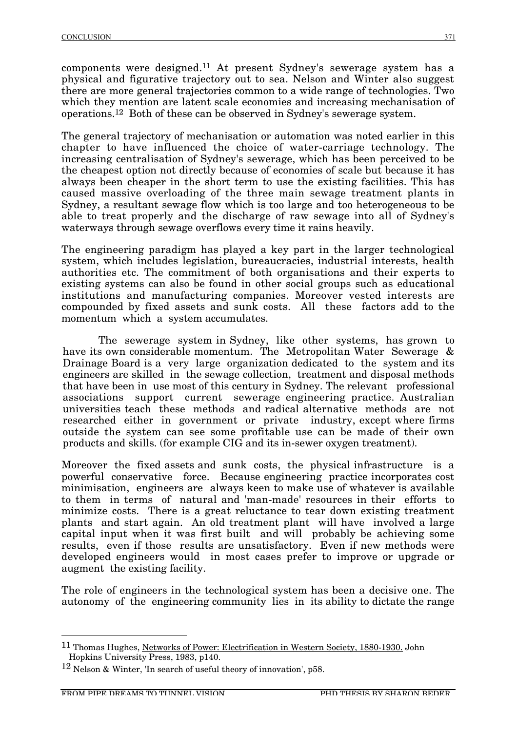components were designed.11 At present Sydney's sewerage system has a physical and figurative trajectory out to sea. Nelson and Winter also suggest there are more general trajectories common to a wide range of technologies. Two which they mention are latent scale economies and increasing mechanisation of operations.12 Both of these can be observed in Sydney's sewerage system.

The general trajectory of mechanisation or automation was noted earlier in this chapter to have influenced the choice of water-carriage technology. The increasing centralisation of Sydney's sewerage, which has been perceived to be the cheapest option not directly because of economies of scale but because it has always been cheaper in the short term to use the existing facilities. This has caused massive overloading of the three main sewage treatment plants in Sydney, a resultant sewage flow which is too large and too heterogeneous to be able to treat properly and the discharge of raw sewage into all of Sydney's waterways through sewage overflows every time it rains heavily.

The engineering paradigm has played a key part in the larger technological system, which includes legislation, bureaucracies, industrial interests, health authorities etc. The commitment of both organisations and their experts to existing systems can also be found in other social groups such as educational institutions and manufacturing companies. Moreover vested interests are compounded by fixed assets and sunk costs. All these factors add to the momentum which a system accumulates.

The sewerage system in Sydney, like other systems, has grown to have its own considerable momentum. The Metropolitan Water Sewerage & Drainage Board is a very large organization dedicated to the system and its engineers are skilled in the sewage collection, treatment and disposal methods that have been in use most of this century in Sydney. The relevant professional associations support current sewerage engineering practice. Australian universities teach these methods and radical alternative methods are not researched either in government or private industry, except where firms outside the system can see some profitable use can be made of their own products and skills. (for example CIG and its in-sewer oxygen treatment).

Moreover the fixed assets and sunk costs, the physical infrastructure is a powerful conservative force. Because engineering practice incorporates cost minimisation, engineers are always keen to make use of whatever is available to them in terms of natural and 'man-made' resources in their efforts to minimize costs. There is a great reluctance to tear down existing treatment plants and start again. An old treatment plant will have involved a large capital input when it was first built and will probably be achieving some results, even if those results are unsatisfactory. Even if new methods were developed engineers would in most cases prefer to improve or upgrade or augment the existing facility.

The role of engineers in the technological system has been a decisive one. The autonomy of the engineering community lies in its ability to dictate the range

 <sup>11</sup> Thomas Hughes, Networks of Power: Electrification in Western Society, 1880-1930. John Hopkins University Press, 1983, p140.

<sup>12</sup> Nelson & Winter, 'In search of useful theory of innovation', p58.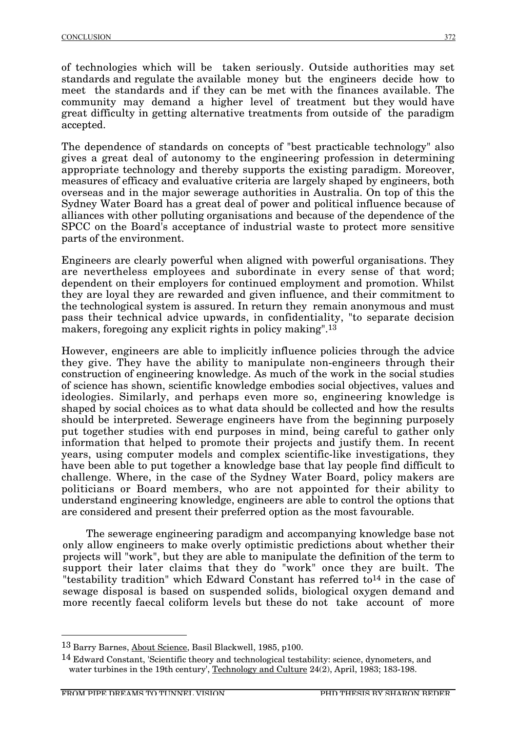of technologies which will be taken seriously. Outside authorities may set standards and regulate the available money but the engineers decide how to meet the standards and if they can be met with the finances available. The community may demand a higher level of treatment but they would have great difficulty in getting alternative treatments from outside of the paradigm accepted.

The dependence of standards on concepts of "best practicable technology" also gives a great deal of autonomy to the engineering profession in determining appropriate technology and thereby supports the existing paradigm. Moreover, measures of efficacy and evaluative criteria are largely shaped by engineers, both overseas and in the major sewerage authorities in Australia. On top of this the Sydney Water Board has a great deal of power and political influence because of alliances with other polluting organisations and because of the dependence of the SPCC on the Board's acceptance of industrial waste to protect more sensitive parts of the environment.

Engineers are clearly powerful when aligned with powerful organisations. They are nevertheless employees and subordinate in every sense of that word; dependent on their employers for continued employment and promotion. Whilst they are loyal they are rewarded and given influence, and their commitment to the technological system is assured. In return they remain anonymous and must pass their technical advice upwards, in confidentiality, "to separate decision makers, foregoing any explicit rights in policy making".<sup>13</sup>

However, engineers are able to implicitly influence policies through the advice they give. They have the ability to manipulate non-engineers through their construction of engineering knowledge. As much of the work in the social studies of science has shown, scientific knowledge embodies social objectives, values and ideologies. Similarly, and perhaps even more so, engineering knowledge is shaped by social choices as to what data should be collected and how the results should be interpreted. Sewerage engineers have from the beginning purposely put together studies with end purposes in mind, being careful to gather only information that helped to promote their projects and justify them. In recent years, using computer models and complex scientific-like investigations, they have been able to put together a knowledge base that lay people find difficult to challenge. Where, in the case of the Sydney Water Board, policy makers are politicians or Board members, who are not appointed for their ability to understand engineering knowledge, engineers are able to control the options that are considered and present their preferred option as the most favourable.

The sewerage engineering paradigm and accompanying knowledge base not only allow engineers to make overly optimistic predictions about whether their projects will "work", but they are able to manipulate the definition of the term to support their later claims that they do "work" once they are built. The "testability tradition" which Edward Constant has referred to<sup>14</sup> in the case of sewage disposal is based on suspended solids, biological oxygen demand and more recently faecal coliform levels but these do not take account of more

 <sup>13</sup> Barry Barnes, About Science, Basil Blackwell, 1985, p100.

<sup>&</sup>lt;sup>14</sup> Edward Constant, 'Scientific theory and technological testability: science, dynometers, and water turbines in the 19th century', Technology and Culture 24(2), April, 1983; 183-198.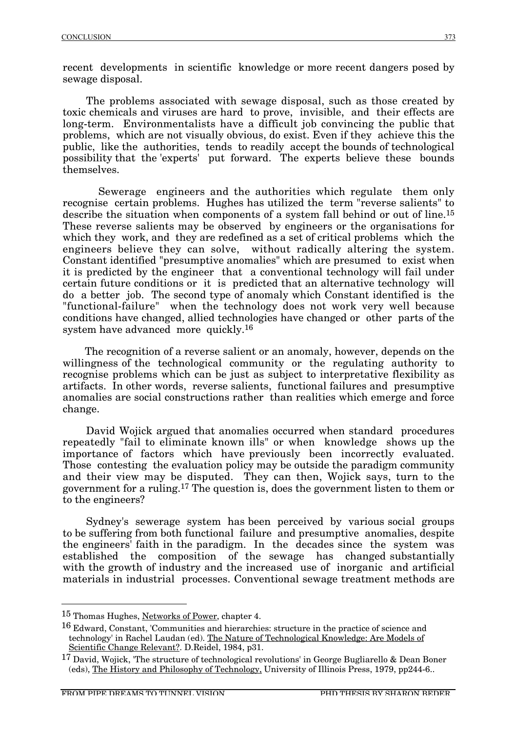recent developments in scientific knowledge or more recent dangers posed by sewage disposal.

The problems associated with sewage disposal, such as those created by toxic chemicals and viruses are hard to prove, invisible, and their effects are long-term. Environmentalists have a difficult job convincing the public that problems, which are not visually obvious, do exist. Even if they achieve this the public, like the authorities, tends to readily accept the bounds of technological possibility that the 'experts' put forward. The experts believe these bounds themselves.

Sewerage engineers and the authorities which regulate them only recognise certain problems. Hughes has utilized the term "reverse salients" to describe the situation when components of a system fall behind or out of line.15 These reverse salients may be observed by engineers or the organisations for which they work, and they are redefined as a set of critical problems which the engineers believe they can solve, without radically altering the system. Constant identified "presumptive anomalies" which are presumed to exist when it is predicted by the engineer that a conventional technology will fail under certain future conditions or it is predicted that an alternative technology will do a better job. The second type of anomaly which Constant identified is the "functional-failure" when the technology does not work very well because conditions have changed, allied technologies have changed or other parts of the system have advanced more quickly.16

The recognition of a reverse salient or an anomaly, however, depends on the willingness of the technological community or the regulating authority to recognise problems which can be just as subject to interpretative flexibility as artifacts. In other words, reverse salients, functional failures and presumptive anomalies are social constructions rather than realities which emerge and force change.

David Wojick argued that anomalies occurred when standard procedures repeatedly "fail to eliminate known ills" or when knowledge shows up the importance of factors which have previously been incorrectly evaluated. Those contesting the evaluation policy may be outside the paradigm community and their view may be disputed. They can then, Wojick says, turn to the government for a ruling.17 The question is, does the government listen to them or to the engineers?

Sydney's sewerage system has been perceived by various social groups to be suffering from both functional failure and presumptive anomalies, despite the engineers' faith in the paradigm. In the decades since the system was established the composition of the sewage has changed substantially with the growth of industry and the increased use of inorganic and artificial materials in industrial processes. Conventional sewage treatment methods are

 <sup>15</sup> Thomas Hughes, Networks of Power, chapter 4.

<sup>&</sup>lt;sup>16</sup> Edward, Constant, 'Communities and hierarchies: structure in the practice of science and technology' in Rachel Laudan (ed). The Nature of Technological Knowledge: Are Models of Scientific Change Relevant?. D.Reidel, 1984, p31.

<sup>17</sup> David, Wojick, 'The structure of technological revolutions' in George Bugliarello & Dean Boner (eds), The History and Philosophy of Technology, University of Illinois Press, 1979, pp244-6..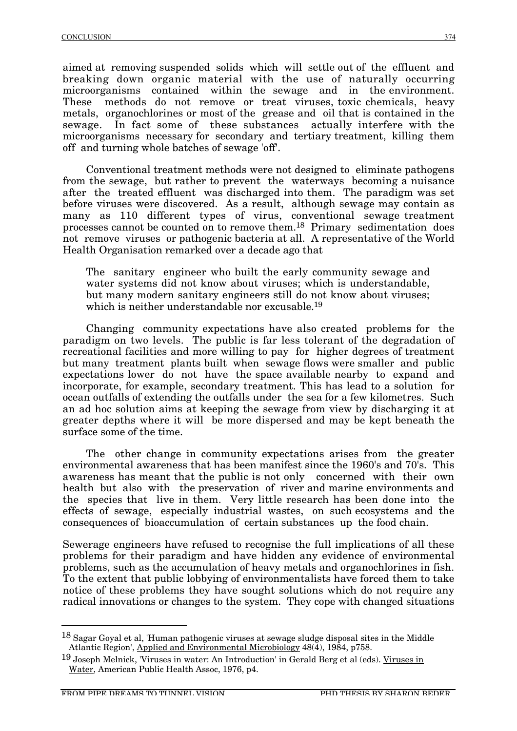aimed at removing suspended solids which will settle out of the effluent and breaking down organic material with the use of naturally occurring microorganisms contained within the sewage and in the environment. These methods do not remove or treat viruses, toxic chemicals, heavy metals, organochlorines or most of the grease and oil that is contained in the sewage. In fact some of these substances actually interfere with the microorganisms necessary for secondary and tertiary treatment, killing them off and turning whole batches of sewage 'off'.

Conventional treatment methods were not designed to eliminate pathogens from the sewage, but rather to prevent the waterways becoming a nuisance after the treated effluent was discharged into them. The paradigm was set before viruses were discovered. As a result, although sewage may contain as many as 110 different types of virus, conventional sewage treatment processes cannot be counted on to remove them.18 Primary sedimentation does not remove viruses or pathogenic bacteria at all. A representative of the World Health Organisation remarked over a decade ago that

The sanitary engineer who built the early community sewage and water systems did not know about viruses; which is understandable, but many modern sanitary engineers still do not know about viruses; which is neither understandable nor excusable.<sup>19</sup>

Changing community expectations have also created problems for the paradigm on two levels. The public is far less tolerant of the degradation of recreational facilities and more willing to pay for higher degrees of treatment but many treatment plants built when sewage flows were smaller and public expectations lower do not have the space available nearby to expand and incorporate, for example, secondary treatment. This has lead to a solution for ocean outfalls of extending the outfalls under the sea for a few kilometres. Such an ad hoc solution aims at keeping the sewage from view by discharging it at greater depths where it will be more dispersed and may be kept beneath the surface some of the time.

The other change in community expectations arises from the greater environmental awareness that has been manifest since the 1960's and 70's. This awareness has meant that the public is not only concerned with their own health but also with the preservation of river and marine environments and the species that live in them. Very little research has been done into the effects of sewage, especially industrial wastes, on such ecosystems and the consequences of bioaccumulation of certain substances up the food chain.

Sewerage engineers have refused to recognise the full implications of all these problems for their paradigm and have hidden any evidence of environmental problems, such as the accumulation of heavy metals and organochlorines in fish. To the extent that public lobbying of environmentalists have forced them to take notice of these problems they have sought solutions which do not require any radical innovations or changes to the system. They cope with changed situations

 <sup>18</sup> Sagar Goyal et al, 'Human pathogenic viruses at sewage sludge disposal sites in the Middle Atlantic Region', Applied and Environmental Microbiology 48(4), 1984, p758.

<sup>&</sup>lt;sup>19</sup> Joseph Melnick, 'Viruses in water: An Introduction' in Gerald Berg et al (eds). <u>Viruses in</u> Water, American Public Health Assoc, 1976, p4.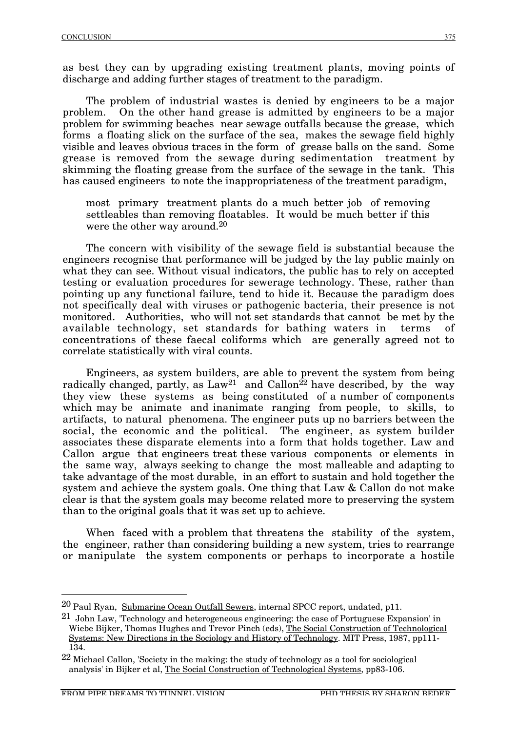as best they can by upgrading existing treatment plants, moving points of discharge and adding further stages of treatment to the paradigm.

The problem of industrial wastes is denied by engineers to be a major problem. On the other hand grease is admitted by engineers to be a major problem for swimming beaches near sewage outfalls because the grease, which forms a floating slick on the surface of the sea, makes the sewage field highly visible and leaves obvious traces in the form of grease balls on the sand. Some grease is removed from the sewage during sedimentation treatment by skimming the floating grease from the surface of the sewage in the tank. This has caused engineers to note the inappropriateness of the treatment paradigm,

most primary treatment plants do a much better job of removing settleables than removing floatables. It would be much better if this were the other way around.20

The concern with visibility of the sewage field is substantial because the engineers recognise that performance will be judged by the lay public mainly on what they can see. Without visual indicators, the public has to rely on accepted testing or evaluation procedures for sewerage technology. These, rather than pointing up any functional failure, tend to hide it. Because the paradigm does not specifically deal with viruses or pathogenic bacteria, their presence is not monitored. Authorities, who will not set standards that cannot be met by the available technology, set standards for bathing waters in terms of concentrations of these faecal coliforms which are generally agreed not to correlate statistically with viral counts.

Engineers, as system builders, are able to prevent the system from being radically changed, partly, as  $Law^{21}$  and Callon<sup>22</sup> have described, by the way they view these systems as being constituted of a number of components which may be animate and inanimate ranging from people, to skills, to artifacts, to natural phenomena. The engineer puts up no barriers between the social, the economic and the political. The engineer, as system builder associates these disparate elements into a form that holds together. Law and Callon argue that engineers treat these various components or elements in the same way, always seeking to change the most malleable and adapting to take advantage of the most durable, in an effort to sustain and hold together the system and achieve the system goals. One thing that Law & Callon do not make clear is that the system goals may become related more to preserving the system than to the original goals that it was set up to achieve.

When faced with a problem that threatens the stability of the system, the engineer, rather than considering building a new system, tries to rearrange or manipulate the system components or perhaps to incorporate a hostile

 <sup>20</sup> Paul Ryan, Submarine Ocean Outfall Sewers, internal SPCC report, undated, p11.

<sup>21</sup> John Law, 'Technology and heterogeneous engineering: the case of Portuguese Expansion' in Wiebe Bijker, Thomas Hughes and Trevor Pinch (eds), The Social Construction of Technological Systems: New Directions in the Sociology and History of Technology. MIT Press, 1987, pp111- 134.

 $22$  Michael Callon, 'Society in the making: the study of technology as a tool for sociological analysis' in Bijker et al, The Social Construction of Technological Systems, pp83-106.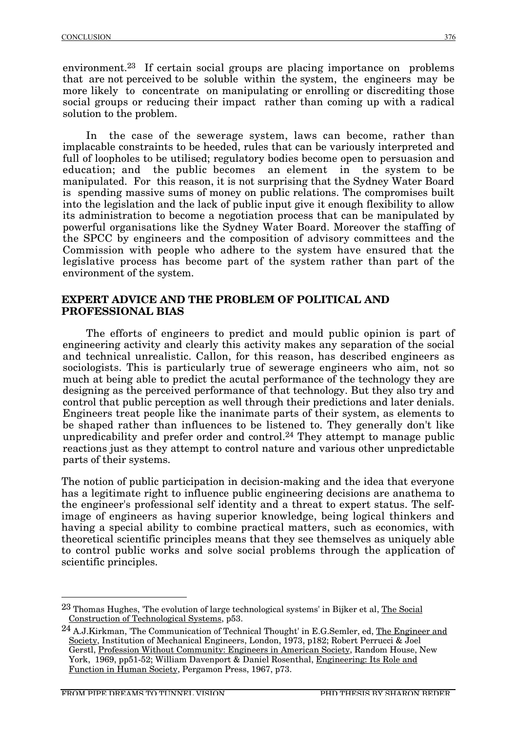environment.23 If certain social groups are placing importance on problems that are not perceived to be soluble within the system, the engineers may be more likely to concentrate on manipulating or enrolling or discrediting those social groups or reducing their impact rather than coming up with a radical solution to the problem.

In the case of the sewerage system, laws can become, rather than implacable constraints to be heeded, rules that can be variously interpreted and full of loopholes to be utilised; regulatory bodies become open to persuasion and education; and the public becomes an element in the system to be manipulated. For this reason, it is not surprising that the Sydney Water Board is spending massive sums of money on public relations. The compromises built into the legislation and the lack of public input give it enough flexibility to allow its administration to become a negotiation process that can be manipulated by powerful organisations like the Sydney Water Board. Moreover the staffing of the SPCC by engineers and the composition of advisory committees and the Commission with people who adhere to the system have ensured that the legislative process has become part of the system rather than part of the environment of the system.

#### **EXPERT ADVICE AND THE PROBLEM OF POLITICAL AND PROFESSIONAL BIAS**

The efforts of engineers to predict and mould public opinion is part of engineering activity and clearly this activity makes any separation of the social and technical unrealistic. Callon, for this reason, has described engineers as sociologists. This is particularly true of sewerage engineers who aim, not so much at being able to predict the acutal performance of the technology they are designing as the perceived performance of that technology. But they also try and control that public perception as well through their predictions and later denials. Engineers treat people like the inanimate parts of their system, as elements to be shaped rather than influences to be listened to. They generally don't like unpredicability and prefer order and control.<sup>24</sup> They attempt to manage public reactions just as they attempt to control nature and various other unpredictable parts of their systems.

The notion of public participation in decision-making and the idea that everyone has a legitimate right to influence public engineering decisions are anathema to the engineer's professional self identity and a threat to expert status. The selfimage of engineers as having superior knowledge, being logical thinkers and having a special ability to combine practical matters, such as economics, with theoretical scientific principles means that they see themselves as uniquely able to control public works and solve social problems through the application of scientific principles.

<sup>&</sup>lt;sup>23</sup> Thomas Hughes, 'The evolution of large technological systems' in Bijker et al, The Social Construction of Technological Systems, p53.

<sup>&</sup>lt;sup>24</sup> A.J.Kirkman, 'The Communication of Technical Thought' in E.G.Semler, ed, The Engineer and Society, Institution of Mechanical Engineers, London, 1973, p182; Robert Perrucci & Joel Gerstl, Profession Without Community: Engineers in American Society, Random House, New York, 1969, pp51-52; William Davenport & Daniel Rosenthal, Engineering: Its Role and Function in Human Society, Pergamon Press, 1967, p73.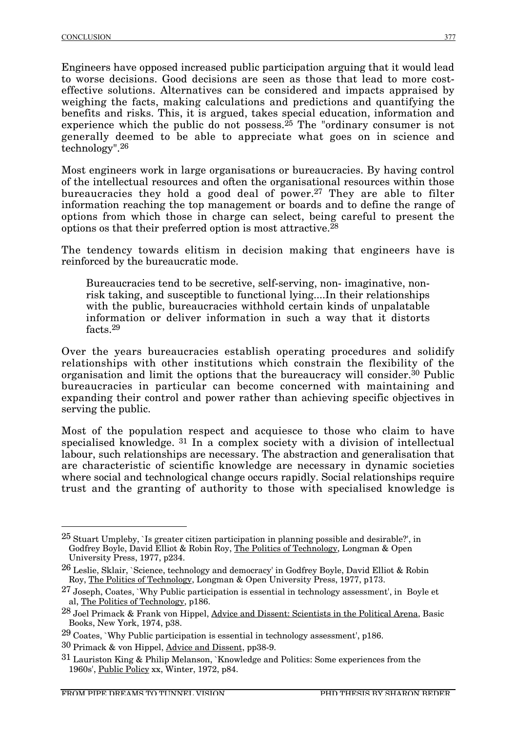Engineers have opposed increased public participation arguing that it would lead to worse decisions. Good decisions are seen as those that lead to more costeffective solutions. Alternatives can be considered and impacts appraised by weighing the facts, making calculations and predictions and quantifying the benefits and risks. This, it is argued, takes special education, information and experience which the public do not possess.<sup>25</sup> The "ordinary consumer is not generally deemed to be able to appreciate what goes on in science and technology".26

Most engineers work in large organisations or bureaucracies. By having control of the intellectual resources and often the organisational resources within those bureaucracies they hold a good deal of power.27 They are able to filter information reaching the top management or boards and to define the range of options from which those in charge can select, being careful to present the options os that their preferred option is most attractive.28

The tendency towards elitism in decision making that engineers have is reinforced by the bureaucratic mode.

Bureaucracies tend to be secretive, self-serving, non- imaginative, nonrisk taking, and susceptible to functional lying....In their relationships with the public, bureaucracies withhold certain kinds of unpalatable information or deliver information in such a way that it distorts facts.29

Over the years bureaucracies establish operating procedures and solidify relationships with other institutions which constrain the flexibility of the organisation and limit the options that the bureaucracy will consider.30 Public bureaucracies in particular can become concerned with maintaining and expanding their control and power rather than achieving specific objectives in serving the public.

Most of the population respect and acquiesce to those who claim to have specialised knowledge. <sup>31</sup> In a complex society with a division of intellectual labour, such relationships are necessary. The abstraction and generalisation that are characteristic of scientific knowledge are necessary in dynamic societies where social and technological change occurs rapidly. Social relationships require trust and the granting of authority to those with specialised knowledge is

 $\frac{25}{25}$  Stuart Umpleby, `Is greater citizen participation in planning possible and desirable?', in Godfrey Boyle, David Elliot & Robin Roy, <u>The Politics of Technology,</u> Longman & Open University Press, 1977, p234.

 $^{26}$  Leslie, Sklair, `Science, technology and democracy' in Godfrey Boyle, David Elliot & Robin Roy, The Politics of Technology, Longman & Open University Press, 1977, p173.

 $27$  Joseph, Coates, `Why Public participation is essential in technology assessment', in Boyle et al, The Politics of Technology, p186.

 $28$  Joel Primack & Frank von Hippel, Advice and Dissent: Scientists in the Political Arena, Basic Books, New York, 1974, p38.

 $29$  Coates, `Why Public participation is essential in technology assessment', p186.

<sup>30</sup> Primack & von Hippel, Advice and Dissent, pp38-9.

<sup>31</sup> Lauriston King & Philip Melanson, `Knowledge and Politics: Some experiences from the 1960s', Public Policy xx, Winter, 1972, p84.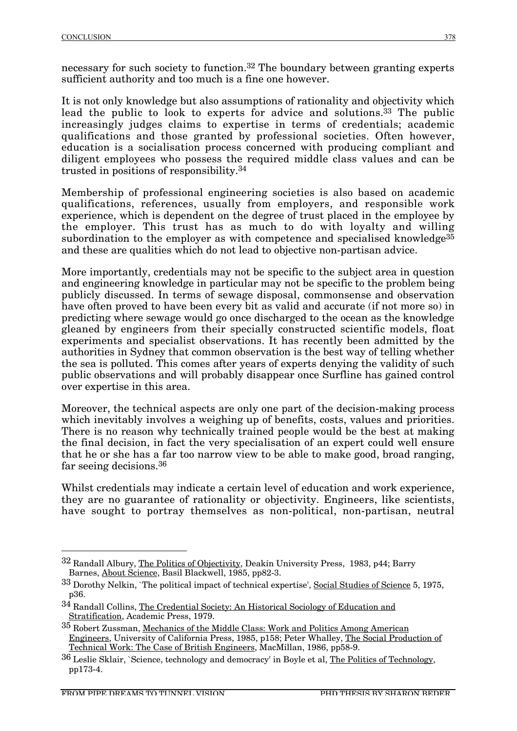necessary for such society to function.32 The boundary between granting experts sufficient authority and too much is a fine one however.

It is not only knowledge but also assumptions of rationality and objectivity which lead the public to look to experts for advice and solutions.<sup>33</sup> The public increasingly judges claims to expertise in terms of credentials; academic qualifications and those granted by professional societies. Often however, education is a socialisation process concerned with producing compliant and diligent employees who possess the required middle class values and can be trusted in positions of responsibility.34

Membership of professional engineering societies is also based on academic qualifications, references, usually from employers, and responsible work experience, which is dependent on the degree of trust placed in the employee by the employer. This trust has as much to do with loyalty and willing subordination to the employer as with competence and specialised knowledge<sup>35</sup> and these are qualities which do not lead to objective non-partisan advice.

More importantly, credentials may not be specific to the subject area in question and engineering knowledge in particular may not be specific to the problem being publicly discussed. In terms of sewage disposal, commonsense and observation have often proved to have been every bit as valid and accurate (if not more so) in predicting where sewage would go once discharged to the ocean as the knowledge gleaned by engineers from their specially constructed scientific models, float experiments and specialist observations. It has recently been admitted by the authorities in Sydney that common observation is the best way of telling whether the sea is polluted. This comes after years of experts denying the validity of such public observations and will probably disappear once Surfline has gained control over expertise in this area.

Moreover, the technical aspects are only one part of the decision-making process which inevitably involves a weighing up of benefits, costs, values and priorities. There is no reason why technically trained people would be the best at making the final decision, in fact the very specialisation of an expert could well ensure that he or she has a far too narrow view to be able to make good, broad ranging, far seeing decisions.36

Whilst credentials may indicate a certain level of education and work experience, they are no guarantee of rationality or objectivity. Engineers, like scientists, have sought to portray themselves as non-political, non-partisan, neutral

 <sup>32</sup> Randall Albury, The Politics of Objectivity, Deakin University Press, 1983, p44; Barry Barnes, About Science, Basil Blackwell, 1985, pp82-3.

<sup>33</sup> Dorothy Nelkin, `The political impact of technical expertise', Social Studies of Science 5, 1975, p36.

<sup>34</sup> Randall Collins, The Credential Society: An Historical Sociology of Education and Stratification, Academic Press, 1979.

<sup>35</sup> Robert Zussman, Mechanics of the Middle Class: Work and Politics Among American Engineers, University of California Press, 1985, p158; Peter Whalley, The Social Production of Technical Work: The Case of British Engineers, MacMillan, 1986, pp58-9.

<sup>36</sup> Leslie Sklair, `Science, technology and democracy' in Boyle et al, The Politics of Technology, pp173-4.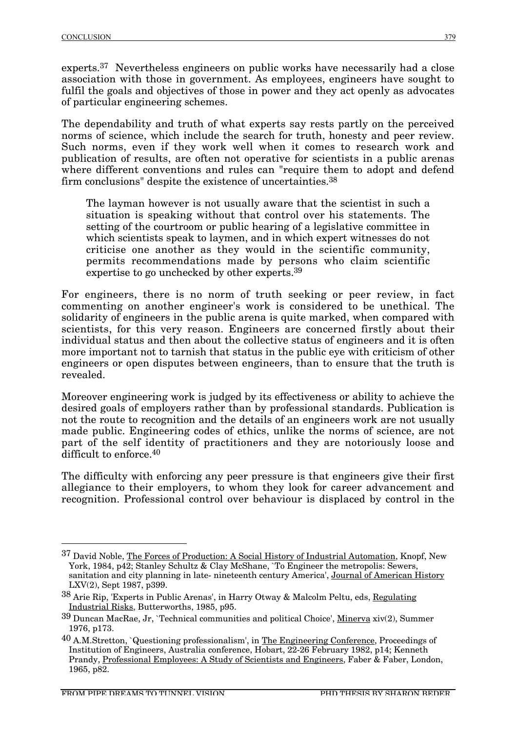experts.37 Nevertheless engineers on public works have necessarily had a close association with those in government. As employees, engineers have sought to fulfil the goals and objectives of those in power and they act openly as advocates of particular engineering schemes.

The dependability and truth of what experts say rests partly on the perceived norms of science, which include the search for truth, honesty and peer review. Such norms, even if they work well when it comes to research work and publication of results, are often not operative for scientists in a public arenas where different conventions and rules can "require them to adopt and defend firm conclusions" despite the existence of uncertainties.38

The layman however is not usually aware that the scientist in such a situation is speaking without that control over his statements. The setting of the courtroom or public hearing of a legislative committee in which scientists speak to laymen, and in which expert witnesses do not criticise one another as they would in the scientific community, permits recommendations made by persons who claim scientific expertise to go unchecked by other experts.39

For engineers, there is no norm of truth seeking or peer review, in fact commenting on another engineer's work is considered to be unethical. The solidarity of engineers in the public arena is quite marked, when compared with scientists, for this very reason. Engineers are concerned firstly about their individual status and then about the collective status of engineers and it is often more important not to tarnish that status in the public eye with criticism of other engineers or open disputes between engineers, than to ensure that the truth is revealed.

Moreover engineering work is judged by its effectiveness or ability to achieve the desired goals of employers rather than by professional standards. Publication is not the route to recognition and the details of an engineers work are not usually made public. Engineering codes of ethics, unlike the norms of science, are not part of the self identity of practitioners and they are notoriously loose and difficult to enforce.40

The difficulty with enforcing any peer pressure is that engineers give their first allegiance to their employers, to whom they look for career advancement and recognition. Professional control over behaviour is displaced by control in the

 <sup>37</sup> David Noble, The Forces of Production: A Social History of Industrial Automation, Knopf, New York, 1984, p42; Stanley Schultz & Clay McShane, `To Engineer the metropolis: Sewers, sanitation and city planning in late- nineteenth century America', Journal of American History LXV(2), Sept 1987, p399.

<sup>38</sup> Arie Rip, 'Experts in Public Arenas', in Harry Otway & Malcolm Peltu, eds, Regulating Industrial Risks, Butterworths, 1985, p95.

<sup>39</sup> Duncan MacRae, Jr, `Technical communities and political Choice', Minerva xiv(2), Summer 1976, p173.

 $^{40}$  A.M.Stretton, `Questioning professionalism', in The Engineering Conference, Proceedings of Institution of Engineers, Australia conference, Hobart, 22-26 February 1982, p14; Kenneth Prandy, Professional Employees: A Study of Scientists and Engineers, Faber & Faber, London, 1965, p82.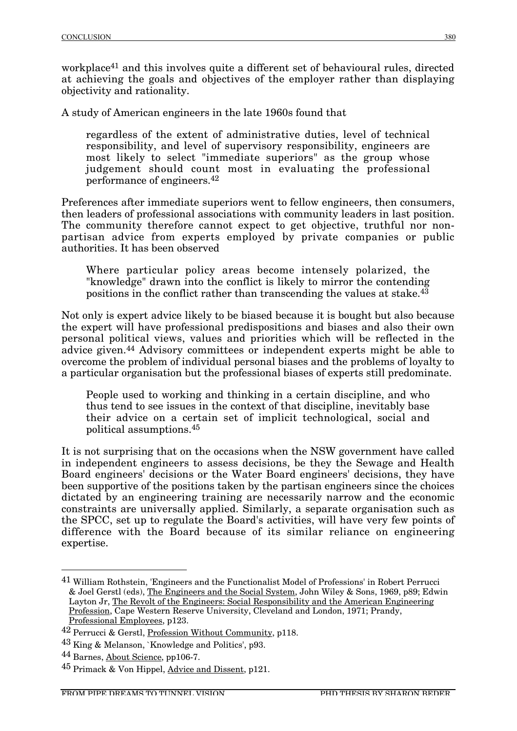workplace<sup>41</sup> and this involves quite a different set of behavioural rules, directed at achieving the goals and objectives of the employer rather than displaying objectivity and rationality.

A study of American engineers in the late 1960s found that

regardless of the extent of administrative duties, level of technical responsibility, and level of supervisory responsibility, engineers are most likely to select "immediate superiors" as the group whose judgement should count most in evaluating the professional performance of engineers.42

Preferences after immediate superiors went to fellow engineers, then consumers, then leaders of professional associations with community leaders in last position. The community therefore cannot expect to get objective, truthful nor nonpartisan advice from experts employed by private companies or public authorities. It has been observed

Where particular policy areas become intensely polarized, the "knowledge" drawn into the conflict is likely to mirror the contending positions in the conflict rather than transcending the values at stake.43

Not only is expert advice likely to be biased because it is bought but also because the expert will have professional predispositions and biases and also their own personal political views, values and priorities which will be reflected in the advice given.44 Advisory committees or independent experts might be able to overcome the problem of individual personal biases and the problems of loyalty to a particular organisation but the professional biases of experts still predominate.

People used to working and thinking in a certain discipline, and who thus tend to see issues in the context of that discipline, inevitably base their advice on a certain set of implicit technological, social and political assumptions.45

It is not surprising that on the occasions when the NSW government have called in independent engineers to assess decisions, be they the Sewage and Health Board engineers' decisions or the Water Board engineers' decisions, they have been supportive of the positions taken by the partisan engineers since the choices dictated by an engineering training are necessarily narrow and the economic constraints are universally applied. Similarly, a separate organisation such as the SPCC, set up to regulate the Board's activities, will have very few points of difference with the Board because of its similar reliance on engineering expertise.

 <sup>41</sup> William Rothstein, 'Engineers and the Functionalist Model of Professions' in Robert Perrucci & Joel Gerstl (eds), The Engineers and the Social System, John Wiley & Sons, 1969, p89; Edwin Layton Jr, The Revolt of the Engineers: Social Responsibility and the American Engineering Profession, Cape Western Reserve University, Cleveland and London, 1971; Prandy, Professional Employees, p123.

<sup>42</sup> Perrucci & Gerstl, Profession Without Community, p118.

<sup>43</sup> King & Melanson, `Knowledge and Politics', p93.

<sup>44</sup> Barnes, About Science, pp106-7.

<sup>45</sup> Primack & Von Hippel, Advice and Dissent, p121.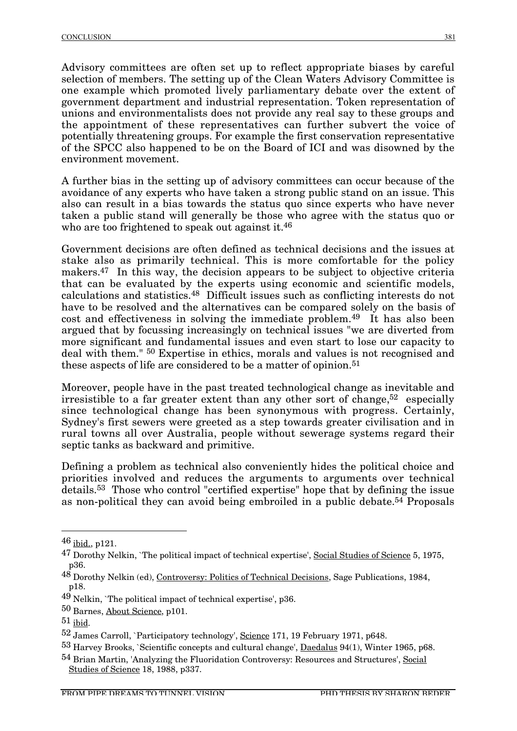Advisory committees are often set up to reflect appropriate biases by careful selection of members. The setting up of the Clean Waters Advisory Committee is one example which promoted lively parliamentary debate over the extent of government department and industrial representation. Token representation of unions and environmentalists does not provide any real say to these groups and the appointment of these representatives can further subvert the voice of potentially threatening groups. For example the first conservation representative of the SPCC also happened to be on the Board of ICI and was disowned by the environment movement.

A further bias in the setting up of advisory committees can occur because of the avoidance of any experts who have taken a strong public stand on an issue. This also can result in a bias towards the status quo since experts who have never taken a public stand will generally be those who agree with the status quo or who are too frightened to speak out against it.<sup>46</sup>

Government decisions are often defined as technical decisions and the issues at stake also as primarily technical. This is more comfortable for the policy makers.47 In this way, the decision appears to be subject to objective criteria that can be evaluated by the experts using economic and scientific models, calculations and statistics.48 Difficult issues such as conflicting interests do not have to be resolved and the alternatives can be compared solely on the basis of cost and effectiveness in solving the immediate problem.49 It has also been argued that by focussing increasingly on technical issues "we are diverted from more significant and fundamental issues and even start to lose our capacity to deal with them." 50 Expertise in ethics, morals and values is not recognised and these aspects of life are considered to be a matter of opinion.<sup>51</sup>

Moreover, people have in the past treated technological change as inevitable and irresistible to a far greater extent than any other sort of change.<sup>52</sup> especially since technological change has been synonymous with progress. Certainly, Sydney's first sewers were greeted as a step towards greater civilisation and in rural towns all over Australia, people without sewerage systems regard their septic tanks as backward and primitive.

Defining a problem as technical also conveniently hides the political choice and priorities involved and reduces the arguments to arguments over technical details.53 Those who control "certified expertise" hope that by defining the issue as non-political they can avoid being embroiled in a public debate.<sup>54</sup> Proposals

 $46$  ibid., p121.

<sup>47</sup> Dorothy Nelkin, `The political impact of technical expertise', Social Studies of Science 5, 1975, p36.

<sup>48</sup> Dorothy Nelkin (ed), Controversy: Politics of Technical Decisions, Sage Publications, 1984, p18.

<sup>49</sup> Nelkin, `The political impact of technical expertise', p36.

<sup>50</sup> Barnes, About Science, p101.

 $51$  ibid.

<sup>52</sup> James Carroll, `Participatory technology', Science 171, 19 February 1971, p648.

<sup>53</sup> Harvey Brooks, `Scientific concepts and cultural change', Daedalus 94(1), Winter 1965, p68.

<sup>&</sup>lt;sup>54</sup> Brian Martin, 'Analyzing the Fluoridation Controversy: Resources and Structures', Social Studies of Science 18, 1988, p337.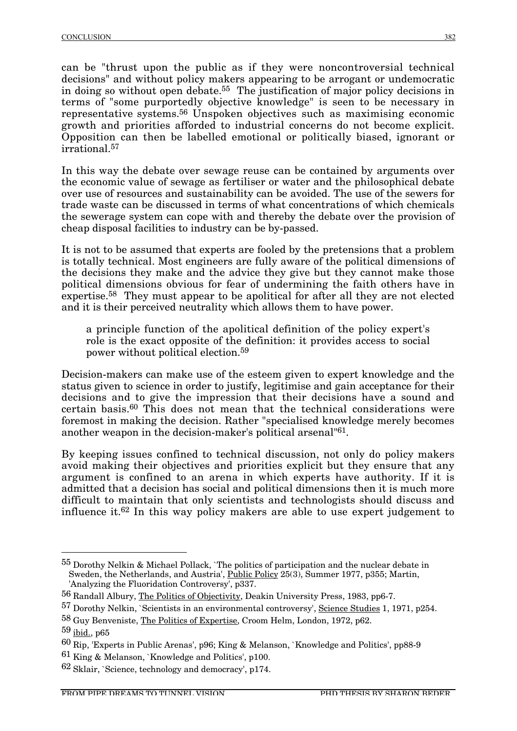can be "thrust upon the public as if they were noncontroversial technical decisions" and without policy makers appearing to be arrogant or undemocratic in doing so without open debate.55 The justification of major policy decisions in terms of "some purportedly objective knowledge" is seen to be necessary in representative systems.56 Unspoken objectives such as maximising economic growth and priorities afforded to industrial concerns do not become explicit. Opposition can then be labelled emotional or politically biased, ignorant or irrational.57

In this way the debate over sewage reuse can be contained by arguments over the economic value of sewage as fertiliser or water and the philosophical debate over use of resources and sustainability can be avoided. The use of the sewers for trade waste can be discussed in terms of what concentrations of which chemicals the sewerage system can cope with and thereby the debate over the provision of cheap disposal facilities to industry can be by-passed.

It is not to be assumed that experts are fooled by the pretensions that a problem is totally technical. Most engineers are fully aware of the political dimensions of the decisions they make and the advice they give but they cannot make those political dimensions obvious for fear of undermining the faith others have in expertise.58 They must appear to be apolitical for after all they are not elected and it is their perceived neutrality which allows them to have power.

a principle function of the apolitical definition of the policy expert's role is the exact opposite of the definition: it provides access to social power without political election.59

Decision-makers can make use of the esteem given to expert knowledge and the status given to science in order to justify, legitimise and gain acceptance for their decisions and to give the impression that their decisions have a sound and certain basis.60 This does not mean that the technical considerations were foremost in making the decision. Rather "specialised knowledge merely becomes another weapon in the decision-maker's political arsenal"61.

By keeping issues confined to technical discussion, not only do policy makers avoid making their objectives and priorities explicit but they ensure that any argument is confined to an arena in which experts have authority. If it is admitted that a decision has social and political dimensions then it is much more difficult to maintain that only scientists and technologists should discuss and influence it.62 In this way policy makers are able to use expert judgement to

58 Guy Benveniste, The Politics of Expertise, Croom Helm, London, 1972, p62.

 <sup>55</sup> Dorothy Nelkin & Michael Pollack, `The politics of participation and the nuclear debate in Sweden, the Netherlands, and Austria', <u>Public Policy</u> 25(3), Summer 1977, p355; Martin, 'Analyzing the Fluoridation Controversy', p337.

<sup>56</sup> Randall Albury, The Politics of Objectivity, Deakin University Press, 1983, pp6-7.

<sup>57</sup> Dorothy Nelkin, `Scientists in an environmental controversy', Science Studies 1, 1971, p254.

<sup>59</sup> ibid., p65

<sup>60</sup> Rip, 'Experts in Public Arenas', p96; King & Melanson, `Knowledge and Politics', pp88-9

<sup>61</sup> King & Melanson, `Knowledge and Politics', p100.

<sup>62</sup> Sklair, `Science, technology and democracy', p174.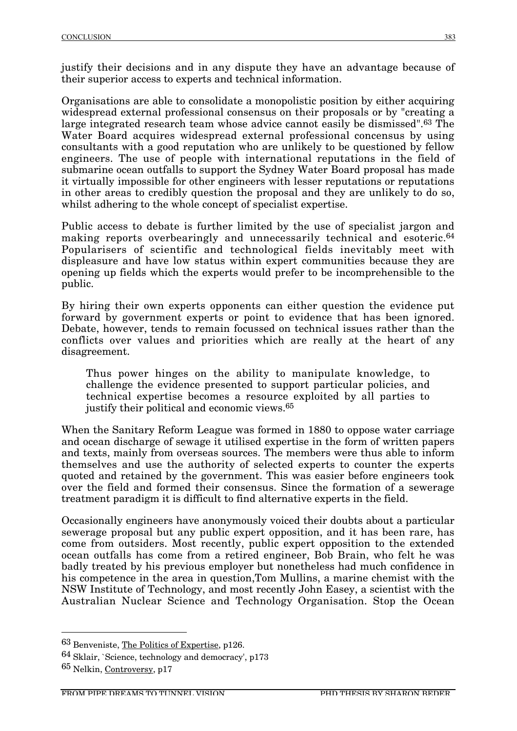justify their decisions and in any dispute they have an advantage because of their superior access to experts and technical information.

Organisations are able to consolidate a monopolistic position by either acquiring widespread external professional consensus on their proposals or by "creating a large integrated research team whose advice cannot easily be dismissed".63 The Water Board acquires widespread external professional concensus by using consultants with a good reputation who are unlikely to be questioned by fellow engineers. The use of people with international reputations in the field of submarine ocean outfalls to support the Sydney Water Board proposal has made it virtually impossible for other engineers with lesser reputations or reputations in other areas to credibly question the proposal and they are unlikely to do so, whilst adhering to the whole concept of specialist expertise.

Public access to debate is further limited by the use of specialist jargon and making reports overbearingly and unnecessarily technical and esoteric.<sup>64</sup> Popularisers of scientific and technological fields inevitably meet with displeasure and have low status within expert communities because they are opening up fields which the experts would prefer to be incomprehensible to the public.

By hiring their own experts opponents can either question the evidence put forward by government experts or point to evidence that has been ignored. Debate, however, tends to remain focussed on technical issues rather than the conflicts over values and priorities which are really at the heart of any disagreement.

Thus power hinges on the ability to manipulate knowledge, to challenge the evidence presented to support particular policies, and technical expertise becomes a resource exploited by all parties to justify their political and economic views.65

When the Sanitary Reform League was formed in 1880 to oppose water carriage and ocean discharge of sewage it utilised expertise in the form of written papers and texts, mainly from overseas sources. The members were thus able to inform themselves and use the authority of selected experts to counter the experts quoted and retained by the government. This was easier before engineers took over the field and formed their consensus. Since the formation of a sewerage treatment paradigm it is difficult to find alternative experts in the field.

Occasionally engineers have anonymously voiced their doubts about a particular sewerage proposal but any public expert opposition, and it has been rare, has come from outsiders. Most recently, public expert opposition to the extended ocean outfalls has come from a retired engineer, Bob Brain, who felt he was badly treated by his previous employer but nonetheless had much confidence in his competence in the area in question,Tom Mullins, a marine chemist with the NSW Institute of Technology, and most recently John Easey, a scientist with the Australian Nuclear Science and Technology Organisation. Stop the Ocean

 <sup>63</sup> Benveniste, The Politics of Expertise, p126.

<sup>64</sup> Sklair, `Science, technology and democracy', p173

<sup>65</sup> Nelkin, Controversy, p17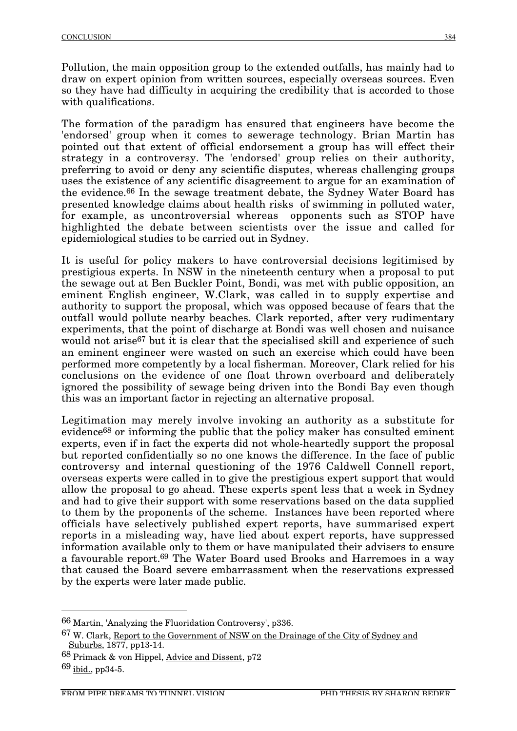Pollution, the main opposition group to the extended outfalls, has mainly had to draw on expert opinion from written sources, especially overseas sources. Even so they have had difficulty in acquiring the credibility that is accorded to those with qualifications.

The formation of the paradigm has ensured that engineers have become the 'endorsed' group when it comes to sewerage technology. Brian Martin has pointed out that extent of official endorsement a group has will effect their strategy in a controversy. The 'endorsed' group relies on their authority, preferring to avoid or deny any scientific disputes, whereas challenging groups uses the existence of any scientific disagreement to argue for an examination of the evidence.66 In the sewage treatment debate, the Sydney Water Board has presented knowledge claims about health risks of swimming in polluted water, for example, as uncontroversial whereas opponents such as STOP have highlighted the debate between scientists over the issue and called for epidemiological studies to be carried out in Sydney.

It is useful for policy makers to have controversial decisions legitimised by prestigious experts. In NSW in the nineteenth century when a proposal to put the sewage out at Ben Buckler Point, Bondi, was met with public opposition, an eminent English engineer, W.Clark, was called in to supply expertise and authority to support the proposal, which was opposed because of fears that the outfall would pollute nearby beaches. Clark reported, after very rudimentary experiments, that the point of discharge at Bondi was well chosen and nuisance would not arise<sup>67</sup> but it is clear that the specialised skill and experience of such an eminent engineer were wasted on such an exercise which could have been performed more competently by a local fisherman. Moreover, Clark relied for his conclusions on the evidence of one float thrown overboard and deliberately ignored the possibility of sewage being driven into the Bondi Bay even though this was an important factor in rejecting an alternative proposal.

Legitimation may merely involve invoking an authority as a substitute for evidence68 or informing the public that the policy maker has consulted eminent experts, even if in fact the experts did not whole-heartedly support the proposal but reported confidentially so no one knows the difference. In the face of public controversy and internal questioning of the 1976 Caldwell Connell report, overseas experts were called in to give the prestigious expert support that would allow the proposal to go ahead. These experts spent less that a week in Sydney and had to give their support with some reservations based on the data supplied to them by the proponents of the scheme. Instances have been reported where officials have selectively published expert reports, have summarised expert reports in a misleading way, have lied about expert reports, have suppressed information available only to them or have manipulated their advisers to ensure a favourable report.69 The Water Board used Brooks and Harremoes in a way that caused the Board severe embarrassment when the reservations expressed by the experts were later made public.

 <sup>66</sup> Martin, 'Analyzing the Fluoridation Controversy', p336.

<sup>67</sup> W. Clark, Report to the Government of NSW on the Drainage of the City of Sydney and Suburbs, 1877, pp13-14.

<sup>68</sup> Primack & von Hippel, Advice and Dissent, p72

<sup>69</sup> ibid., pp34-5.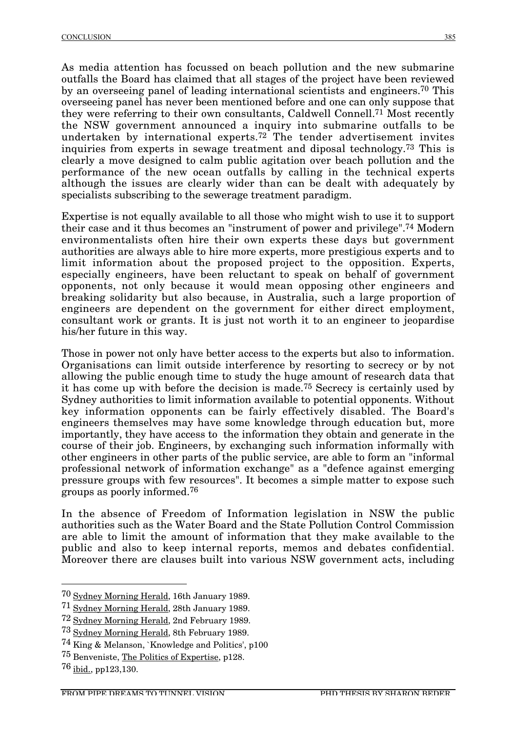As media attention has focussed on beach pollution and the new submarine outfalls the Board has claimed that all stages of the project have been reviewed by an overseeing panel of leading international scientists and engineers.70 This overseeing panel has never been mentioned before and one can only suppose that they were referring to their own consultants, Caldwell Connell.71 Most recently the NSW government announced a inquiry into submarine outfalls to be undertaken by international experts.72 The tender advertisement invites inquiries from experts in sewage treatment and diposal technology.73 This is clearly a move designed to calm public agitation over beach pollution and the performance of the new ocean outfalls by calling in the technical experts although the issues are clearly wider than can be dealt with adequately by specialists subscribing to the sewerage treatment paradigm.

Expertise is not equally available to all those who might wish to use it to support their case and it thus becomes an "instrument of power and privilege".74 Modern environmentalists often hire their own experts these days but government authorities are always able to hire more experts, more prestigious experts and to limit information about the proposed project to the opposition. Experts, especially engineers, have been reluctant to speak on behalf of government opponents, not only because it would mean opposing other engineers and breaking solidarity but also because, in Australia, such a large proportion of engineers are dependent on the government for either direct employment, consultant work or grants. It is just not worth it to an engineer to jeopardise his/her future in this way.

Those in power not only have better access to the experts but also to information. Organisations can limit outside interference by resorting to secrecy or by not allowing the public enough time to study the huge amount of research data that it has come up with before the decision is made.75 Secrecy is certainly used by Sydney authorities to limit information available to potential opponents. Without key information opponents can be fairly effectively disabled. The Board's engineers themselves may have some knowledge through education but, more importantly, they have access to the information they obtain and generate in the course of their job. Engineers, by exchanging such information informally with other engineers in other parts of the public service, are able to form an "informal professional network of information exchange" as a "defence against emerging pressure groups with few resources". It becomes a simple matter to expose such groups as poorly informed.76

In the absence of Freedom of Information legislation in NSW the public authorities such as the Water Board and the State Pollution Control Commission are able to limit the amount of information that they make available to the public and also to keep internal reports, memos and debates confidential. Moreover there are clauses built into various NSW government acts, including

 <sup>70</sup> Sydney Morning Herald, 16th January 1989.

<sup>71</sup> Sydney Morning Herald, 28th January 1989.

<sup>72</sup> Sydney Morning Herald, 2nd February 1989.

<sup>73</sup> Sydney Morning Herald, 8th February 1989.

<sup>74</sup> King & Melanson, `Knowledge and Politics', p100

<sup>75</sup> Benveniste, The Politics of Expertise, p128.

<sup>76</sup> ibid., pp123,130.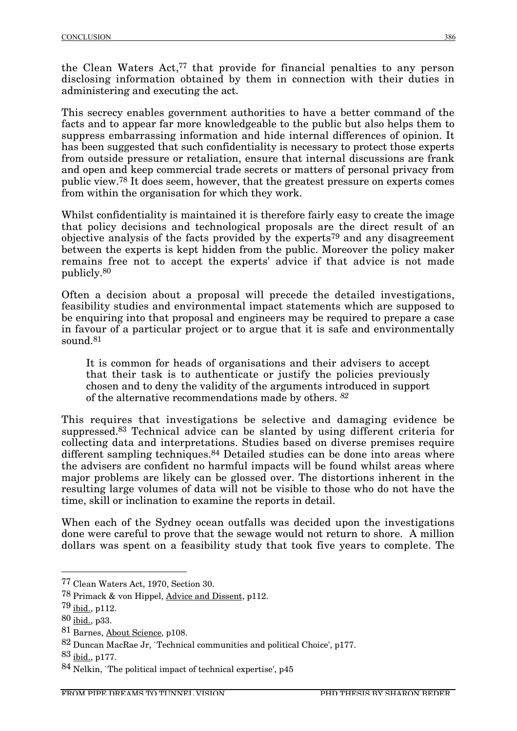the Clean Waters Act,<sup>77</sup> that provide for financial penalties to any person disclosing information obtained by them in connection with their duties in administering and executing the act.

This secrecy enables government authorities to have a better command of the facts and to appear far more knowledgeable to the public but also helps them to suppress embarrassing information and hide internal differences of opinion. It has been suggested that such confidentiality is necessary to protect those experts from outside pressure or retaliation, ensure that internal discussions are frank and open and keep commercial trade secrets or matters of personal privacy from public view.78 It does seem, however, that the greatest pressure on experts comes from within the organisation for which they work.

Whilst confidentiality is maintained it is therefore fairly easy to create the image that policy decisions and technological proposals are the direct result of an objective analysis of the facts provided by the experts79 and any disagreement between the experts is kept hidden from the public. Moreover the policy maker remains free not to accept the experts' advice if that advice is not made publicly.80

Often a decision about a proposal will precede the detailed investigations, feasibility studies and environmental impact statements which are supposed to be enquiring into that proposal and engineers may be required to prepare a case in favour of a particular project or to argue that it is safe and environmentally sound.81

It is common for heads of organisations and their advisers to accept that their task is to authenticate or justify the policies previously chosen and to deny the validity of the arguments introduced in support of the alternative recommendations made by others. *82*

This requires that investigations be selective and damaging evidence be suppressed.83 Technical advice can be slanted by using different criteria for collecting data and interpretations. Studies based on diverse premises require different sampling techniques.<sup>84</sup> Detailed studies can be done into areas where the advisers are confident no harmful impacts will be found whilst areas where major problems are likely can be glossed over. The distortions inherent in the resulting large volumes of data will not be visible to those who do not have the time, skill or inclination to examine the reports in detail.

When each of the Sydney ocean outfalls was decided upon the investigations done were careful to prove that the sewage would not return to shore. A million dollars was spent on a feasibility study that took five years to complete. The

 <sup>77</sup> Clean Waters Act, 1970, Section 30.

<sup>78</sup> Primack & von Hippel, Advice and Dissent, p112.

 $79$  ibid., p112.

<sup>80</sup> ibid., p33.

<sup>81</sup> Barnes, About Science, p108.

<sup>82</sup> Duncan MacRae Jr, `Technical communities and political Choice', p177.

<sup>83</sup> ibid., p177.

<sup>84</sup> Nelkin, `The political impact of technical expertise', p45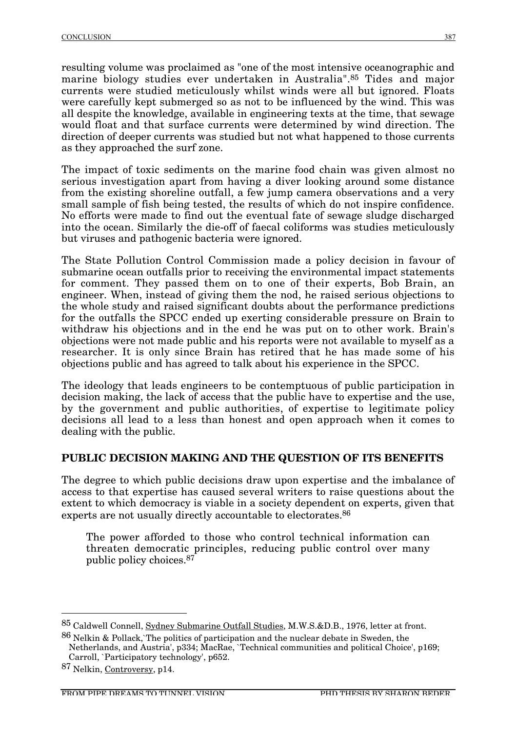resulting volume was proclaimed as "one of the most intensive oceanographic and marine biology studies ever undertaken in Australia".85 Tides and major currents were studied meticulously whilst winds were all but ignored. Floats were carefully kept submerged so as not to be influenced by the wind. This was all despite the knowledge, available in engineering texts at the time, that sewage would float and that surface currents were determined by wind direction. The direction of deeper currents was studied but not what happened to those currents as they approached the surf zone.

The impact of toxic sediments on the marine food chain was given almost no serious investigation apart from having a diver looking around some distance from the existing shoreline outfall, a few jump camera observations and a very small sample of fish being tested, the results of which do not inspire confidence. No efforts were made to find out the eventual fate of sewage sludge discharged into the ocean. Similarly the die-off of faecal coliforms was studies meticulously but viruses and pathogenic bacteria were ignored.

The State Pollution Control Commission made a policy decision in favour of submarine ocean outfalls prior to receiving the environmental impact statements for comment. They passed them on to one of their experts, Bob Brain, an engineer. When, instead of giving them the nod, he raised serious objections to the whole study and raised significant doubts about the performance predictions for the outfalls the SPCC ended up exerting considerable pressure on Brain to withdraw his objections and in the end he was put on to other work. Brain's objections were not made public and his reports were not available to myself as a researcher. It is only since Brain has retired that he has made some of his objections public and has agreed to talk about his experience in the SPCC.

The ideology that leads engineers to be contemptuous of public participation in decision making, the lack of access that the public have to expertise and the use, by the government and public authorities, of expertise to legitimate policy decisions all lead to a less than honest and open approach when it comes to dealing with the public.

## **PUBLIC DECISION MAKING AND THE QUESTION OF ITS BENEFITS**

The degree to which public decisions draw upon expertise and the imbalance of access to that expertise has caused several writers to raise questions about the extent to which democracy is viable in a society dependent on experts, given that experts are not usually directly accountable to electorates.<sup>86</sup>

The power afforded to those who control technical information can threaten democratic principles, reducing public control over many public policy choices.87

 <sup>85</sup> Caldwell Connell, Sydney Submarine Outfall Studies, M.W.S.&D.B., 1976, letter at front.

<sup>86</sup> Nelkin & Pollack,`The politics of participation and the nuclear debate in Sweden, the Netherlands, and Austria', p334; MacRae, `Technical communities and political Choice', p169; Carroll, `Participatory technology', p652.

<sup>87</sup> Nelkin, Controversy, p14.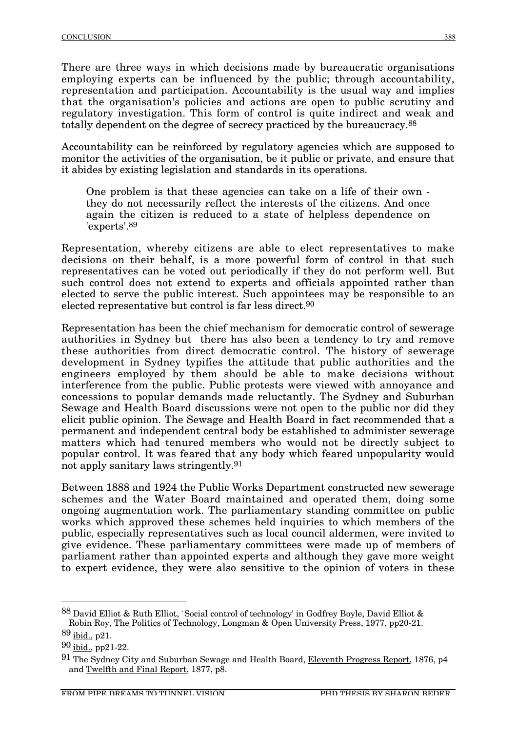There are three ways in which decisions made by bureaucratic organisations employing experts can be influenced by the public; through accountability, representation and participation. Accountability is the usual way and implies that the organisation's policies and actions are open to public scrutiny and regulatory investigation. This form of control is quite indirect and weak and totally dependent on the degree of secrecy practiced by the bureaucracy.88

Accountability can be reinforced by regulatory agencies which are supposed to monitor the activities of the organisation, be it public or private, and ensure that it abides by existing legislation and standards in its operations.

One problem is that these agencies can take on a life of their own they do not necessarily reflect the interests of the citizens. And once again the citizen is reduced to a state of helpless dependence on 'experts'.89

Representation, whereby citizens are able to elect representatives to make decisions on their behalf, is a more powerful form of control in that such representatives can be voted out periodically if they do not perform well. But such control does not extend to experts and officials appointed rather than elected to serve the public interest. Such appointees may be responsible to an elected representative but control is far less direct.90

Representation has been the chief mechanism for democratic control of sewerage authorities in Sydney but there has also been a tendency to try and remove these authorities from direct democratic control. The history of sewerage development in Sydney typifies the attitude that public authorities and the engineers employed by them should be able to make decisions without interference from the public. Public protests were viewed with annoyance and concessions to popular demands made reluctantly. The Sydney and Suburban Sewage and Health Board discussions were not open to the public nor did they elicit public opinion. The Sewage and Health Board in fact recommended that a permanent and independent central body be established to administer sewerage matters which had tenured members who would not be directly subject to popular control. It was feared that any body which feared unpopularity would not apply sanitary laws stringently.91

Between 1888 and 1924 the Public Works Department constructed new sewerage schemes and the Water Board maintained and operated them, doing some ongoing augmentation work. The parliamentary standing committee on public works which approved these schemes held inquiries to which members of the public, especially representatives such as local council aldermen, were invited to give evidence. These parliamentary committees were made up of members of parliament rather than appointed experts and although they gave more weight to expert evidence, they were also sensitive to the opinion of voters in these

 <sup>88</sup> David Elliot & Ruth Elliot, `Social control of technology' in Godfrey Boyle, David Elliot & Robin Roy, The Politics of Technology, Longman & Open University Press, 1977, pp20-21.

<sup>89</sup> ibid., p21.

<sup>90</sup> ibid., pp21-22.

<sup>&</sup>lt;sup>91</sup> The Sydney City and Suburban Sewage and Health Board, Eleventh Progress Report, 1876, p4 and Twelfth and Final Report, 1877, p8.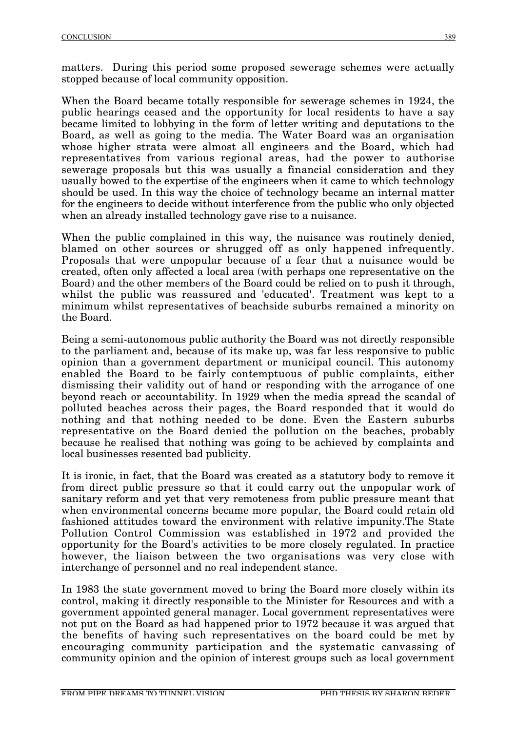matters. During this period some proposed sewerage schemes were actually stopped because of local community opposition.

When the Board became totally responsible for sewerage schemes in 1924, the public hearings ceased and the opportunity for local residents to have a say became limited to lobbying in the form of letter writing and deputations to the Board, as well as going to the media. The Water Board was an organisation whose higher strata were almost all engineers and the Board, which had representatives from various regional areas, had the power to authorise sewerage proposals but this was usually a financial consideration and they usually bowed to the expertise of the engineers when it came to which technology should be used. In this way the choice of technology became an internal matter for the engineers to decide without interference from the public who only objected when an already installed technology gave rise to a nuisance.

When the public complained in this way, the nuisance was routinely denied, blamed on other sources or shrugged off as only happened infrequently. Proposals that were unpopular because of a fear that a nuisance would be created, often only affected a local area (with perhaps one representative on the Board) and the other members of the Board could be relied on to push it through, whilst the public was reassured and 'educated'. Treatment was kept to a minimum whilst representatives of beachside suburbs remained a minority on the Board.

Being a semi-autonomous public authority the Board was not directly responsible to the parliament and, because of its make up, was far less responsive to public opinion than a government department or municipal council. This autonomy enabled the Board to be fairly contemptuous of public complaints, either dismissing their validity out of hand or responding with the arrogance of one beyond reach or accountability. In 1929 when the media spread the scandal of polluted beaches across their pages, the Board responded that it would do nothing and that nothing needed to be done. Even the Eastern suburbs representative on the Board denied the pollution on the beaches, probably because he realised that nothing was going to be achieved by complaints and local businesses resented bad publicity.

It is ironic, in fact, that the Board was created as a statutory body to remove it from direct public pressure so that it could carry out the unpopular work of sanitary reform and yet that very remoteness from public pressure meant that when environmental concerns became more popular, the Board could retain old fashioned attitudes toward the environment with relative impunity.The State Pollution Control Commission was established in 1972 and provided the opportunity for the Board's activities to be more closely regulated. In practice however, the liaison between the two organisations was very close with interchange of personnel and no real independent stance.

In 1983 the state government moved to bring the Board more closely within its control, making it directly responsible to the Minister for Resources and with a government appointed general manager. Local government representatives were not put on the Board as had happened prior to 1972 because it was argued that the benefits of having such representatives on the board could be met by encouraging community participation and the systematic canvassing of community opinion and the opinion of interest groups such as local government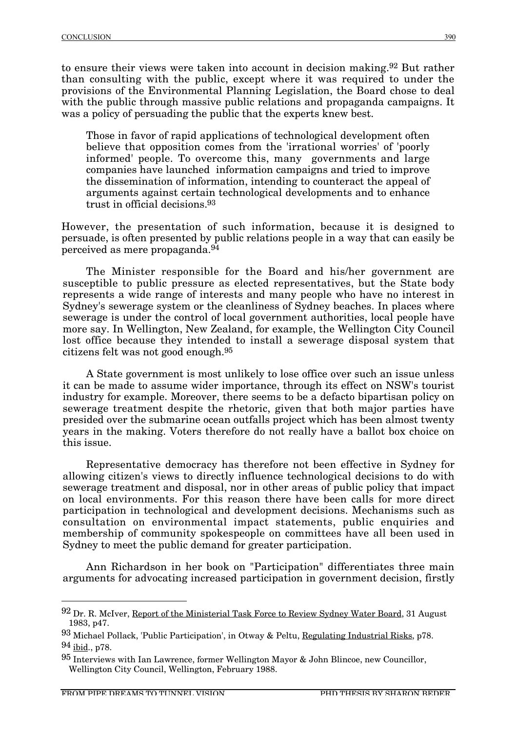to ensure their views were taken into account in decision making.92 But rather than consulting with the public, except where it was required to under the provisions of the Environmental Planning Legislation, the Board chose to deal with the public through massive public relations and propaganda campaigns. It was a policy of persuading the public that the experts knew best.

Those in favor of rapid applications of technological development often believe that opposition comes from the 'irrational worries' of 'poorly informed' people. To overcome this, many governments and large companies have launched information campaigns and tried to improve the dissemination of information, intending to counteract the appeal of arguments against certain technological developments and to enhance trust in official decisions.93

However, the presentation of such information, because it is designed to persuade, is often presented by public relations people in a way that can easily be perceived as mere propaganda.94

The Minister responsible for the Board and his/her government are susceptible to public pressure as elected representatives, but the State body represents a wide range of interests and many people who have no interest in Sydney's sewerage system or the cleanliness of Sydney beaches. In places where sewerage is under the control of local government authorities, local people have more say. In Wellington, New Zealand, for example, the Wellington City Council lost office because they intended to install a sewerage disposal system that citizens felt was not good enough.95

A State government is most unlikely to lose office over such an issue unless it can be made to assume wider importance, through its effect on NSW's tourist industry for example. Moreover, there seems to be a defacto bipartisan policy on sewerage treatment despite the rhetoric, given that both major parties have presided over the submarine ocean outfalls project which has been almost twenty years in the making. Voters therefore do not really have a ballot box choice on this issue.

Representative democracy has therefore not been effective in Sydney for allowing citizen's views to directly influence technological decisions to do with sewerage treatment and disposal, nor in other areas of public policy that impact on local environments. For this reason there have been calls for more direct participation in technological and development decisions. Mechanisms such as consultation on environmental impact statements, public enquiries and membership of community spokespeople on committees have all been used in Sydney to meet the public demand for greater participation.

Ann Richardson in her book on "Participation" differentiates three main arguments for advocating increased participation in government decision, firstly

 <sup>92</sup> Dr. R. McIver, Report of the Ministerial Task Force to Review Sydney Water Board, 31 August 1983, p47.

<sup>93</sup> Michael Pollack, 'Public Participation', in Otway & Peltu, Regulating Industrial Risks, p78. 94 ibid., p78.

 $95$  Interviews with Ian Lawrence, former Wellington Mayor & John Blincoe, new Councillor, Wellington City Council, Wellington, February 1988.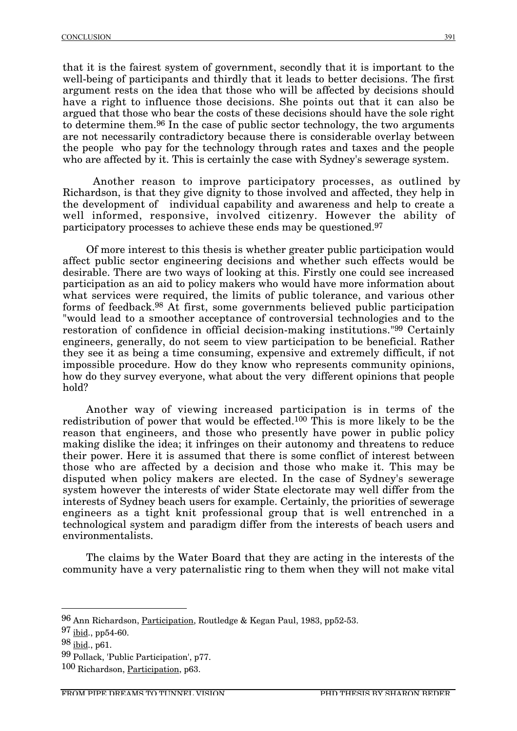that it is the fairest system of government, secondly that it is important to the well-being of participants and thirdly that it leads to better decisions. The first argument rests on the idea that those who will be affected by decisions should have a right to influence those decisions. She points out that it can also be argued that those who bear the costs of these decisions should have the sole right to determine them.96 In the case of public sector technology, the two arguments are not necessarily contradictory because there is considerable overlay between the people who pay for the technology through rates and taxes and the people who are affected by it. This is certainly the case with Sydney's sewerage system.

Another reason to improve participatory processes, as outlined by Richardson, is that they give dignity to those involved and affected, they help in the development of individual capability and awareness and help to create a well informed, responsive, involved citizenry. However the ability of participatory processes to achieve these ends may be questioned.97

Of more interest to this thesis is whether greater public participation would affect public sector engineering decisions and whether such effects would be desirable. There are two ways of looking at this. Firstly one could see increased participation as an aid to policy makers who would have more information about what services were required, the limits of public tolerance, and various other forms of feedback.98 At first, some governments believed public participation "would lead to a smoother acceptance of controversial technologies and to the restoration of confidence in official decision-making institutions."99 Certainly engineers, generally, do not seem to view participation to be beneficial. Rather they see it as being a time consuming, expensive and extremely difficult, if not impossible procedure. How do they know who represents community opinions, how do they survey everyone, what about the very different opinions that people hold?

Another way of viewing increased participation is in terms of the redistribution of power that would be effected.100 This is more likely to be the reason that engineers, and those who presently have power in public policy making dislike the idea; it infringes on their autonomy and threatens to reduce their power. Here it is assumed that there is some conflict of interest between those who are affected by a decision and those who make it. This may be disputed when policy makers are elected. In the case of Sydney's sewerage system however the interests of wider State electorate may well differ from the interests of Sydney beach users for example. Certainly, the priorities of sewerage engineers as a tight knit professional group that is well entrenched in a technological system and paradigm differ from the interests of beach users and environmentalists.

The claims by the Water Board that they are acting in the interests of the community have a very paternalistic ring to them when they will not make vital

 <sup>96</sup> Ann Richardson, Participation, Routledge & Kegan Paul, 1983, pp52-53.

<sup>97</sup> ibid., pp54-60.

<sup>98</sup> ibid., p61.

<sup>99</sup> Pollack, 'Public Participation', p77.

<sup>100</sup> Richardson, Participation, p63.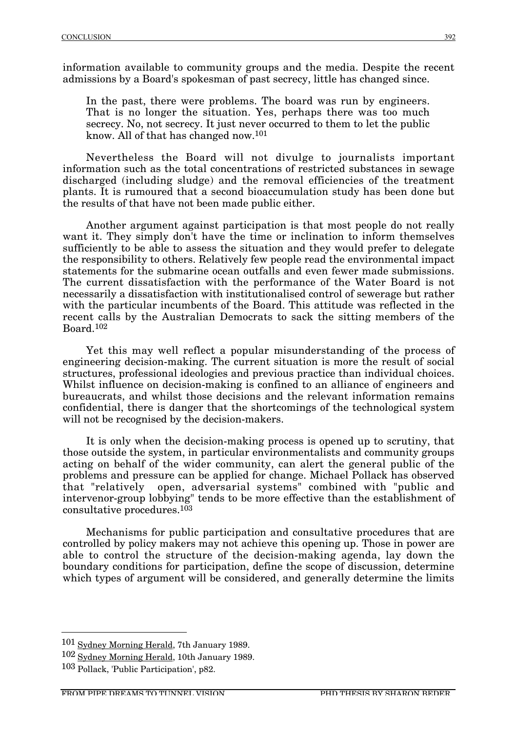information available to community groups and the media. Despite the recent admissions by a Board's spokesman of past secrecy, little has changed since.

In the past, there were problems. The board was run by engineers. That is no longer the situation. Yes, perhaps there was too much secrecy. No, not secrecy. It just never occurred to them to let the public know. All of that has changed now.101

Nevertheless the Board will not divulge to journalists important information such as the total concentrations of restricted substances in sewage discharged (including sludge) and the removal efficiencies of the treatment plants. It is rumoured that a second bioaccumulation study has been done but the results of that have not been made public either.

Another argument against participation is that most people do not really want it. They simply don't have the time or inclination to inform themselves sufficiently to be able to assess the situation and they would prefer to delegate the responsibility to others. Relatively few people read the environmental impact statements for the submarine ocean outfalls and even fewer made submissions. The current dissatisfaction with the performance of the Water Board is not necessarily a dissatisfaction with institutionalised control of sewerage but rather with the particular incumbents of the Board. This attitude was reflected in the recent calls by the Australian Democrats to sack the sitting members of the Board.102

Yet this may well reflect a popular misunderstanding of the process of engineering decision-making. The current situation is more the result of social structures, professional ideologies and previous practice than individual choices. Whilst influence on decision-making is confined to an alliance of engineers and bureaucrats, and whilst those decisions and the relevant information remains confidential, there is danger that the shortcomings of the technological system will not be recognised by the decision-makers.

It is only when the decision-making process is opened up to scrutiny, that those outside the system, in particular environmentalists and community groups acting on behalf of the wider community, can alert the general public of the problems and pressure can be applied for change. Michael Pollack has observed that "relatively open, adversarial systems" combined with "public and intervenor-group lobbying" tends to be more effective than the establishment of consultative procedures.103

Mechanisms for public participation and consultative procedures that are controlled by policy makers may not achieve this opening up. Those in power are able to control the structure of the decision-making agenda, lay down the boundary conditions for participation, define the scope of discussion, determine which types of argument will be considered, and generally determine the limits

 <sup>101</sup> Sydney Morning Herald, 7th January 1989.

<sup>102</sup> Sydney Morning Herald, 10th January 1989.

<sup>103</sup> Pollack, 'Public Participation', p82.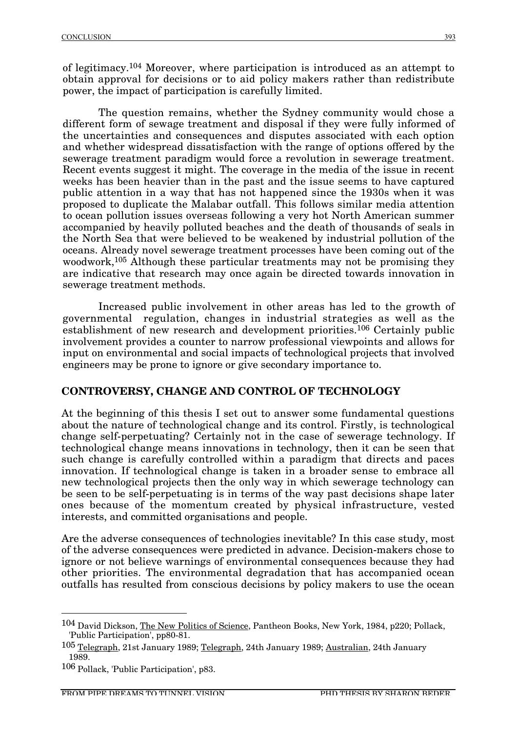of legitimacy.104 Moreover, where participation is introduced as an attempt to obtain approval for decisions or to aid policy makers rather than redistribute power, the impact of participation is carefully limited.

The question remains, whether the Sydney community would chose a different form of sewage treatment and disposal if they were fully informed of the uncertainties and consequences and disputes associated with each option and whether widespread dissatisfaction with the range of options offered by the sewerage treatment paradigm would force a revolution in sewerage treatment. Recent events suggest it might. The coverage in the media of the issue in recent weeks has been heavier than in the past and the issue seems to have captured public attention in a way that has not happened since the 1930s when it was proposed to duplicate the Malabar outfall. This follows similar media attention to ocean pollution issues overseas following a very hot North American summer accompanied by heavily polluted beaches and the death of thousands of seals in the North Sea that were believed to be weakened by industrial pollution of the oceans. Already novel sewerage treatment processes have been coming out of the woodwork,<sup>105</sup> Although these particular treatments may not be promising they are indicative that research may once again be directed towards innovation in sewerage treatment methods.

Increased public involvement in other areas has led to the growth of governmental regulation, changes in industrial strategies as well as the establishment of new research and development priorities.106 Certainly public involvement provides a counter to narrow professional viewpoints and allows for input on environmental and social impacts of technological projects that involved engineers may be prone to ignore or give secondary importance to.

## **CONTROVERSY, CHANGE AND CONTROL OF TECHNOLOGY**

At the beginning of this thesis I set out to answer some fundamental questions about the nature of technological change and its control. Firstly, is technological change self-perpetuating? Certainly not in the case of sewerage technology. If technological change means innovations in technology, then it can be seen that such change is carefully controlled within a paradigm that directs and paces innovation. If technological change is taken in a broader sense to embrace all new technological projects then the only way in which sewerage technology can be seen to be self-perpetuating is in terms of the way past decisions shape later ones because of the momentum created by physical infrastructure, vested interests, and committed organisations and people.

Are the adverse consequences of technologies inevitable? In this case study, most of the adverse consequences were predicted in advance. Decision-makers chose to ignore or not believe warnings of environmental consequences because they had other priorities. The environmental degradation that has accompanied ocean outfalls has resulted from conscious decisions by policy makers to use the ocean

 <sup>104</sup> David Dickson, The New Politics of Science, Pantheon Books, New York, 1984, p220; Pollack, 'Public Participation', pp80-81.

<sup>105</sup> Telegraph, 21st January 1989; Telegraph, 24th January 1989; Australian, 24th January 1989.

<sup>106</sup> Pollack, 'Public Participation', p83.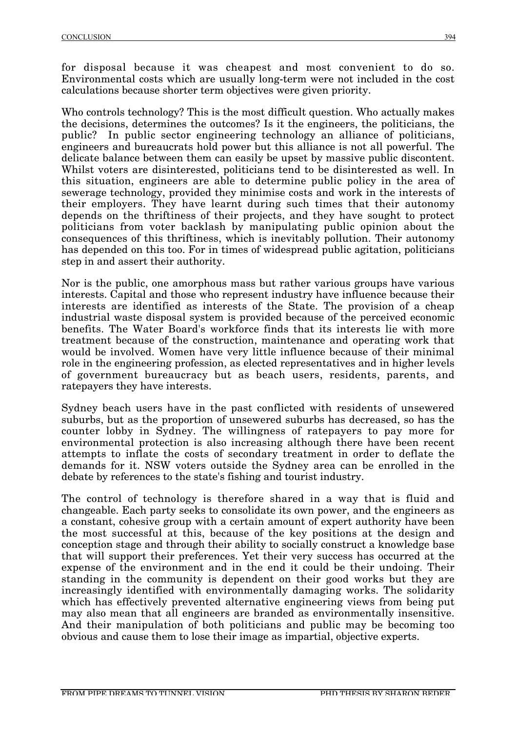for disposal because it was cheapest and most convenient to do so. Environmental costs which are usually long-term were not included in the cost calculations because shorter term objectives were given priority.

Who controls technology? This is the most difficult question. Who actually makes the decisions, determines the outcomes? Is it the engineers, the politicians, the public? In public sector engineering technology an alliance of politicians, engineers and bureaucrats hold power but this alliance is not all powerful. The delicate balance between them can easily be upset by massive public discontent. Whilst voters are disinterested, politicians tend to be disinterested as well. In this situation, engineers are able to determine public policy in the area of sewerage technology, provided they minimise costs and work in the interests of their employers. They have learnt during such times that their autonomy depends on the thriftiness of their projects, and they have sought to protect politicians from voter backlash by manipulating public opinion about the consequences of this thriftiness, which is inevitably pollution. Their autonomy has depended on this too. For in times of widespread public agitation, politicians step in and assert their authority.

Nor is the public, one amorphous mass but rather various groups have various interests. Capital and those who represent industry have influence because their interests are identified as interests of the State. The provision of a cheap industrial waste disposal system is provided because of the perceived economic benefits. The Water Board's workforce finds that its interests lie with more treatment because of the construction, maintenance and operating work that would be involved. Women have very little influence because of their minimal role in the engineering profession, as elected representatives and in higher levels of government bureaucracy but as beach users, residents, parents, and ratepayers they have interests.

Sydney beach users have in the past conflicted with residents of unsewered suburbs, but as the proportion of unsewered suburbs has decreased, so has the counter lobby in Sydney. The willingness of ratepayers to pay more for environmental protection is also increasing although there have been recent attempts to inflate the costs of secondary treatment in order to deflate the demands for it. NSW voters outside the Sydney area can be enrolled in the debate by references to the state's fishing and tourist industry.

The control of technology is therefore shared in a way that is fluid and changeable. Each party seeks to consolidate its own power, and the engineers as a constant, cohesive group with a certain amount of expert authority have been the most successful at this, because of the key positions at the design and conception stage and through their ability to socially construct a knowledge base that will support their preferences. Yet their very success has occurred at the expense of the environment and in the end it could be their undoing. Their standing in the community is dependent on their good works but they are increasingly identified with environmentally damaging works. The solidarity which has effectively prevented alternative engineering views from being put may also mean that all engineers are branded as environmentally insensitive. And their manipulation of both politicians and public may be becoming too obvious and cause them to lose their image as impartial, objective experts.